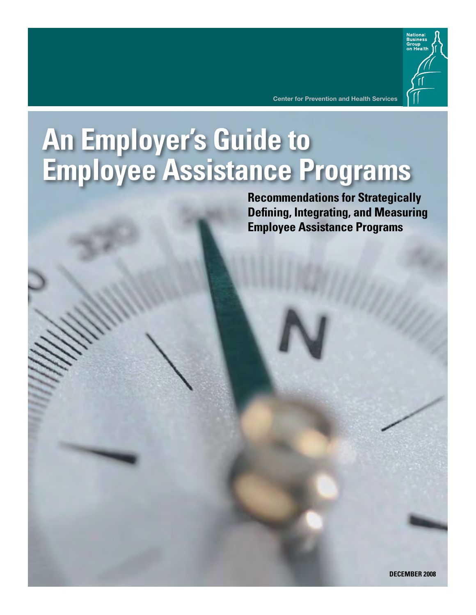

**Center for Prevention and Health Services**

# **An Employer's Guide to Employee Assistance Programs**

**Recommendations for Strategically Defining, Integrating, and Measuring Employee Assistance Programs**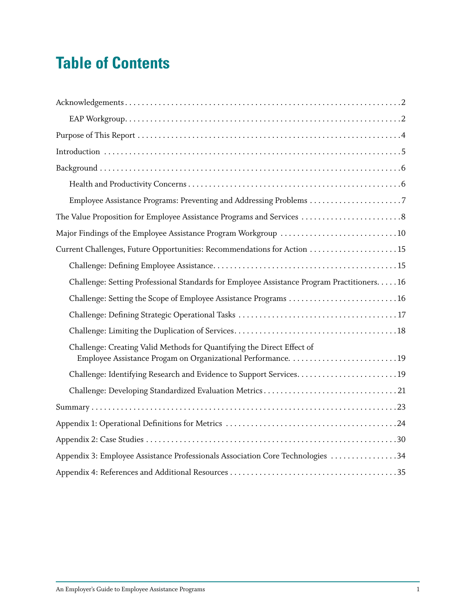# **Table of Contents**

| Employee Assistance Programs: Preventing and Addressing Problems 7                          |
|---------------------------------------------------------------------------------------------|
| The Value Proposition for Employee Assistance Programs and Services  8                      |
| Major Findings of the Employee Assistance Program Workgroup 10                              |
|                                                                                             |
|                                                                                             |
| Challenge: Setting Professional Standards for Employee Assistance Program Practitioners. 16 |
|                                                                                             |
|                                                                                             |
|                                                                                             |
| Challenge: Creating Valid Methods for Quantifying the Direct Effect of                      |
|                                                                                             |
|                                                                                             |
|                                                                                             |
|                                                                                             |
|                                                                                             |
| Appendix 3: Employee Assistance Professionals Association Core Technologies 34              |
|                                                                                             |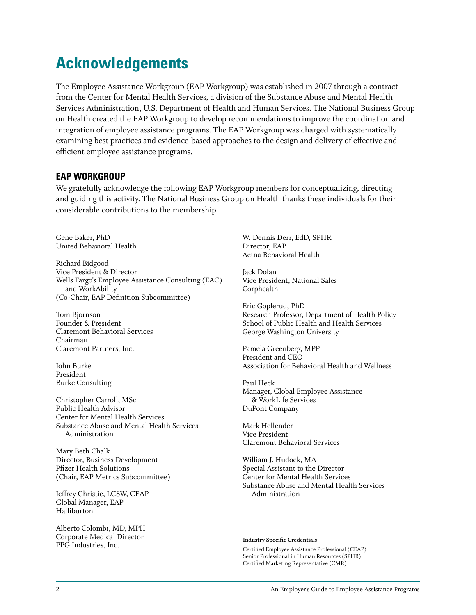# **Acknowledgements**

The Employee Assistance Workgroup (EAP Workgroup) was established in 2007 through a contract from the Center for Mental Health Services, a division of the Substance Abuse and Mental Health Services Administration, U.S. Department of Health and Human Services. The National Business Group on Health created the EAP Workgroup to develop recommendations to improve the coordination and integration of employee assistance programs. The EAP Workgroup was charged with systematically examining best practices and evidence-based approaches to the design and delivery of effective and efficient employee assistance programs.

#### **EAP Workgroup**

We gratefully acknowledge the following EAP Workgroup members for conceptualizing, directing and guiding this activity. The National Business Group on Health thanks these individuals for their considerable contributions to the membership.

Gene Baker, PhD United Behavioral Health

Richard Bidgood Vice President & Director Wells Fargo's Employee Assistance Consulting (EAC) and WorkAbility (Co-Chair, EAP Definition Subcommittee)

Tom Bjornson Founder & President Claremont Behavioral Services Chairman Claremont Partners, Inc.

John Burke President Burke Consulting

Christopher Carroll, MSc Public Health Advisor Center for Mental Health Services Substance Abuse and Mental Health Services Administration

Mary Beth Chalk Director, Business Development Pfizer Health Solutions (Chair, EAP Metrics Subcommittee)

Jeffrey Christie, LCSW, CEAP Global Manager, EAP Halliburton

Alberto Colombi, MD, MPH Corporate Medical Director PPG Industries, Inc.

W. Dennis Derr, EdD, SPHR Director, EAP Aetna Behavioral Health

Jack Dolan Vice President, National Sales Corphealth

Eric Goplerud, PhD Research Professor, Department of Health Policy School of Public Health and Health Services George Washington University

Pamela Greenberg, MPP President and CEO Association for Behavioral Health and Wellness

Paul Heck Manager, Global Employee Assistance & WorkLife Services DuPont Company

Mark Hellender Vice President Claremont Behavioral Services

William J. Hudock, MA Special Assistant to the Director Center for Mental Health Services Substance Abuse and Mental Health Services Administration

#### **Industry Specific Credentials**

Certified Employee Assistance Professional (CEAP) Senior Professional in Human Resources (SPHR) Certified Marketing Representative (CMR)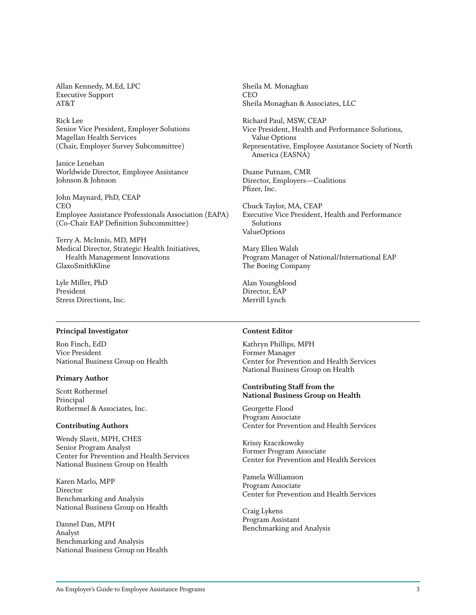Allan Kennedy, M.Ed, LPC Executive Support AT&T

Rick Lee Senior Vice President, Employer Solutions Magellan Health Services (Chair, Employer Survey Subcommittee)

Janice Lenehan Worldwide Director, Employee Assistance Johnson & Johnson

John Maynard, PhD, CEAP CEO Employee Assistance Professionals Association (EAPA) (Co-Chair EAP Definition Subcommittee)

Terry A. McInnis, MD, MPH Medical Director, Strategic Health Initiatives, Health Management Innovations GlaxoSmithKline

Lyle Miller, PhD President Stress Directions, Inc.

#### **Principal Investigator**

Ron Finch, EdD Vice President National Business Group on Health

#### **Primary Author**

Scott Rothermel Principal Rothermel & Associates, Inc.

#### **Contributing Authors**

Wendy Slavit, MPH, CHES Senior Program Analyst Center for Prevention and Health Services National Business Group on Health

Karen Marlo, MPP Director Benchmarking and Analysis National Business Group on Health

Dannel Dan, MPH Analyst Benchmarking and Analysis National Business Group on Health Sheila M. Monaghan CEO Sheila Monaghan & Associates, LLC

Richard Paul, MSW, CEAP Vice President, Health and Performance Solutions, Value Options Representative, Employee Assistance Society of North America (EASNA)

Duane Putnam, CMR Director, Employers—Coalitions Pfizer, Inc.

Chuck Taylor, MA, CEAP Executive Vice President, Health and Performance Solutions ValueOptions

Mary Ellen Walsh Program Manager of National/International EAP The Boeing Company

Alan Youngblood Director, EAP Merrill Lynch

#### **Content Editor**

Kathryn Phillips, MPH Former Manager Center for Prevention and Health Services National Business Group on Health

**Contributing Staff from the National Business Group on Health**

Georgette Flood Program Associate Center for Prevention and Health Services

Krissy Kraczkowsky Former Program Associate Center for Prevention and Health Services

Pamela Williamson Program Associate Center for Prevention and Health Services

Craig Lykens Program Assistant Benchmarking and Analysis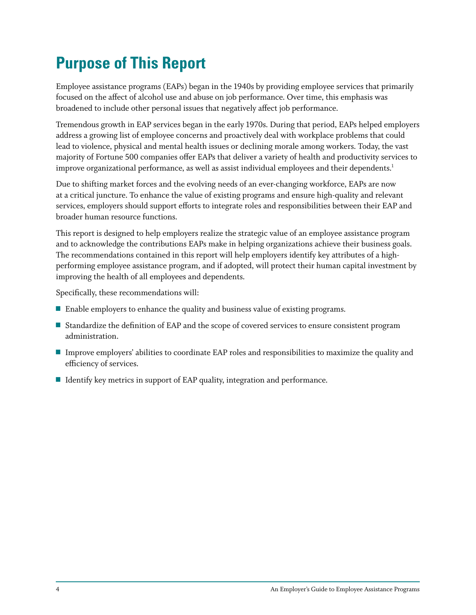# **Purpose of This Report**

Employee assistance programs (EAPs) began in the 1940s by providing employee services that primarily focused on the affect of alcohol use and abuse on job performance. Over time, this emphasis was broadened to include other personal issues that negatively affect job performance.

Tremendous growth in EAP services began in the early 1970s. During that period, EAPs helped employers address a growing list of employee concerns and proactively deal with workplace problems that could lead to violence, physical and mental health issues or declining morale among workers. Today, the vast majority of Fortune 500 companies offer EAPs that deliver a variety of health and productivity services to improve organizational performance, as well as assist individual employees and their dependents. $^{\rm 1}$ 

Due to shifting market forces and the evolving needs of an ever-changing workforce, EAPs are now at a critical juncture. To enhance the value of existing programs and ensure high-quality and relevant services, employers should support efforts to integrate roles and responsibilities between their EAP and broader human resource functions.

This report is designed to help employers realize the strategic value of an employee assistance program and to acknowledge the contributions EAPs make in helping organizations achieve their business goals. The recommendations contained in this report will help employers identify key attributes of a highperforming employee assistance program, and if adopted, will protect their human capital investment by improving the health of all employees and dependents.

Specifically, these recommendations will:

- $\blacksquare$  Enable employers to enhance the quality and business value of existing programs.
- **Standardize the definition of EAP and the scope of covered services to ensure consistent program** administration.
- Improve employers' abilities to coordinate EAP roles and responsibilities to maximize the quality and efficiency of services.
- $\blacksquare$  Identify key metrics in support of EAP quality, integration and performance.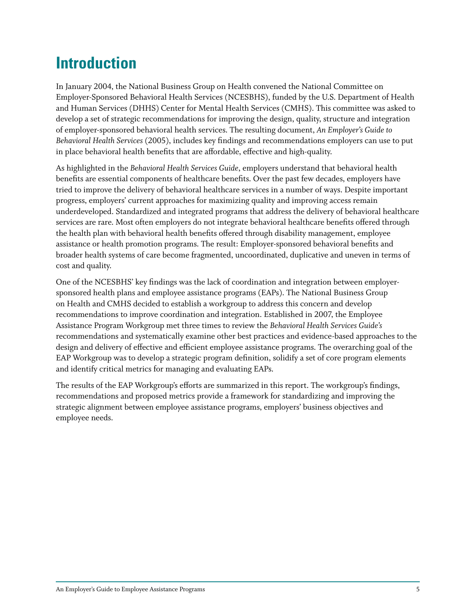# **Introduction**

In January 2004, the National Business Group on Health convened the National Committee on Employer-Sponsored Behavioral Health Services (NCESBHS), funded by the U.S. Department of Health and Human Services (DHHS) Center for Mental Health Services (CMHS). This committee was asked to develop a set of strategic recommendations for improving the design, quality, structure and integration of employer-sponsored behavioral health services. The resulting document, *An Employer's Guide to Behavioral Health Services* (2005), includes key findings and recommendations employers can use to put in place behavioral health benefits that are affordable, effective and high-quality.

As highlighted in the *Behavioral Health Services Guide*, employers understand that behavioral health benefits are essential components of healthcare benefits. Over the past few decades, employers have tried to improve the delivery of behavioral healthcare services in a number of ways. Despite important progress, employers' current approaches for maximizing quality and improving access remain underdeveloped. Standardized and integrated programs that address the delivery of behavioral healthcare services are rare. Most often employers do not integrate behavioral healthcare benefits offered through the health plan with behavioral health benefits offered through disability management, employee assistance or health promotion programs. The result: Employer-sponsored behavioral benefits and broader health systems of care become fragmented, uncoordinated, duplicative and uneven in terms of cost and quality.

One of the NCESBHS' key findings was the lack of coordination and integration between employersponsored health plans and employee assistance programs (EAPs). The National Business Group on Health and CMHS decided to establish a workgroup to address this concern and develop recommendations to improve coordination and integration. Established in 2007, the Employee Assistance Program Workgroup met three times to review the *Behavioral Health Services Guide's* recommendations and systematically examine other best practices and evidence-based approaches to the design and delivery of effective and efficient employee assistance programs. The overarching goal of the EAP Workgroup was to develop a strategic program definition, solidify a set of core program elements and identify critical metrics for managing and evaluating EAPs.

The results of the EAP Workgroup's efforts are summarized in this report. The workgroup's findings, recommendations and proposed metrics provide a framework for standardizing and improving the strategic alignment between employee assistance programs, employers' business objectives and employee needs.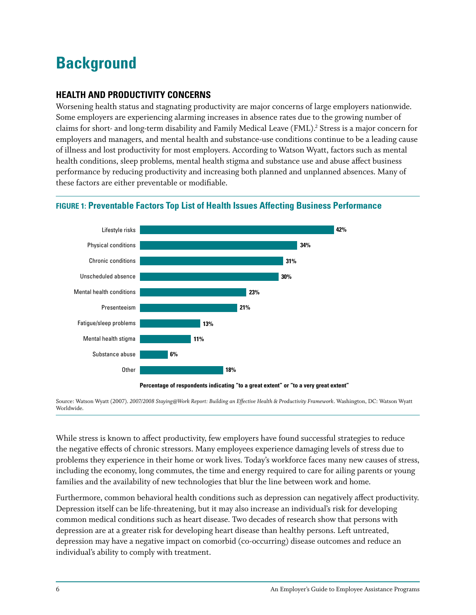# **Background**

# **Health and Productivity Concerns**

Worsening health status and stagnating productivity are major concerns of large employers nationwide. Some employers are experiencing alarming increases in absence rates due to the growing number of claims for short- and long-term disability and Family Medical Leave (FML). 2 Stress is a major concern for employers and managers, and mental health and substance-use conditions continue to be a leading cause of illness and lost productivity for most employers. According to Watson Wyatt, factors such as mental health conditions, sleep problems, mental health stigma and substance use and abuse affect business performance by reducing productivity and increasing both planned and unplanned absences. Many of these factors are either preventable or modifiable.

#### Lifestyle risks Physical conditions Chronic conditions Unscheduled absence Mental health conditions Presenteeism Fatigue/sleep problems Mental health stigma Substance abuse **Other 42% 34% 31% 30% 23% 21% 13% 11% 6% 18%**

### **Figure 1: Preventable Factors Top List of Health Issues Affecting Business Performance**

**Percentage of respondents indicating "to a great extent" or "to a very great extent"**

Source: Watson Wyatt (2007). *2007/2008 Staying@Work Report: Building an Effective Health & Productivity Framework*. Washington, DC: Watson Wyatt Worldwide.

While stress is known to affect productivity, few employers have found successful strategies to reduce the negative effects of chronic stressors. Many employees experience damaging levels of stress due to problems they experience in their home or work lives. Today's workforce faces many new causes of stress, including the economy, long commutes, the time and energy required to care for ailing parents or young families and the availability of new technologies that blur the line between work and home.

Furthermore, common behavioral health conditions such as depression can negatively affect productivity. Depression itself can be life-threatening, but it may also increase an individual's risk for developing common medical conditions such as heart disease. Two decades of research show that persons with depression are at a greater risk for developing heart disease than healthy persons. Left untreated, depression may have a negative impact on comorbid (co-occurring) disease outcomes and reduce an individual's ability to comply with treatment.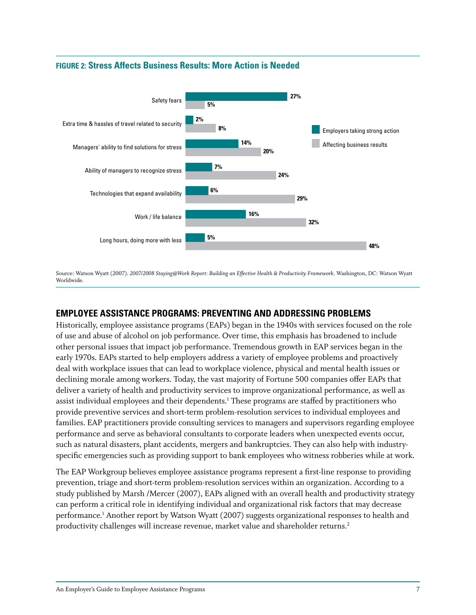

#### **Figure 2: Stress Affects Business Results: More Action is Needed**

Source: Watson Wyatt (2007). *2007/2008 Staying@Work Report: Building an Effective Health & Productivity Framework*. Washington, DC: Watson Wyatt Worldwide.

# **Employee Assistance Programs: Preventing and Addressing Problems**

Historically, employee assistance programs (EAPs) began in the 1940s with services focused on the role of use and abuse of alcohol on job performance. Over time, this emphasis has broadened to include other personal issues that impact job performance. Tremendous growth in EAP services began in the early 1970s. EAPs started to help employers address a variety of employee problems and proactively deal with workplace issues that can lead to workplace violence, physical and mental health issues or declining morale among workers. Today, the vast majority of Fortune 500 companies offer EAPs that deliver a variety of health and productivity services to improve organizational performance, as well as assist individual employees and their dependents. $^1$  These programs are staffed by practitioners who provide preventive services and short-term problem-resolution services to individual employees and families. EAP practitioners provide consulting services to managers and supervisors regarding employee performance and serve as behavioral consultants to corporate leaders when unexpected events occur, such as natural disasters, plant accidents, mergers and bankruptcies. They can also help with industryspecific emergencies such as providing support to bank employees who witness robberies while at work.<br>

The EAP Workgroup believes employee assistance programs represent a first-line response to providing prevention, triage and short-term problem-resolution services within an organization. According to a study published by Marsh /Mercer (2007), EAPs aligned with an overall health and productivity strategy can perform a critical role in identifying individual and organizational risk factors that may decrease performance. 1 Another report by Watson Wyatt (2007) suggests organizational responses to health and productivity challenges will increase revenue, market value and shareholder returns.<sup>2</sup>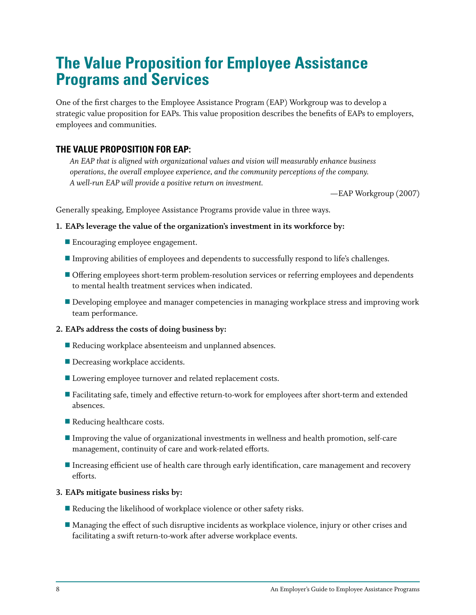# **The Value Proposition for Employee Assistance Programs and Services**

One of the first charges to the Employee Assistance Program (EAP) Workgroup was to develop a strategic value proposition for EAPs. This value proposition describes the benefits of EAPs to employers, employees and communities.

# **The Value Proposition for EAP:**

*An EAP that is aligned with organizational values and vision will measurably enhance business operations, the overall employee experience, and the community perceptions of the company. A well-run EAP will provide a positive return on investment.*

—EAP Workgroup (2007)

Generally speaking, Employee Assistance Programs provide value in three ways.

#### **1. EAPs leverage the value of the organization's investment in its workforce by:**

- $\blacksquare$  Encouraging employee engagement.
- o Improving abilities of employees and dependents to successfully respond to life's challenges.
- Offering employees short-term problem-resolution services or referring employees and dependents to mental health treatment services when indicated.
- Developing employee and manager competencies in managing workplace stress and improving work team performance.

#### **2. EAPs address the costs of doing business by:**

- $\blacksquare$  Reducing workplace absenteeism and unplanned absences.
- $\blacksquare$  Decreasing workplace accidents.
- $\blacksquare$  Lowering employee turnover and related replacement costs.
- **Example 1** Facilitating safe, timely and effective return-to-work for employees after short-term and extended absences.
- $\blacksquare$  Reducing healthcare costs.
- o Improving the value of organizational investments in wellness and health promotion, self-care management, continuity of care and work-related efforts.
- **IF Increasing efficient use of health care through early identification, care management and recovery** efforts.

#### **3. EAPs mitigate business risks by:**

- $\blacksquare$  Reducing the likelihood of workplace violence or other safety risks.
- Managing the effect of such disruptive incidents as workplace violence, injury or other crises and facilitating a swift return-to-work after adverse workplace events.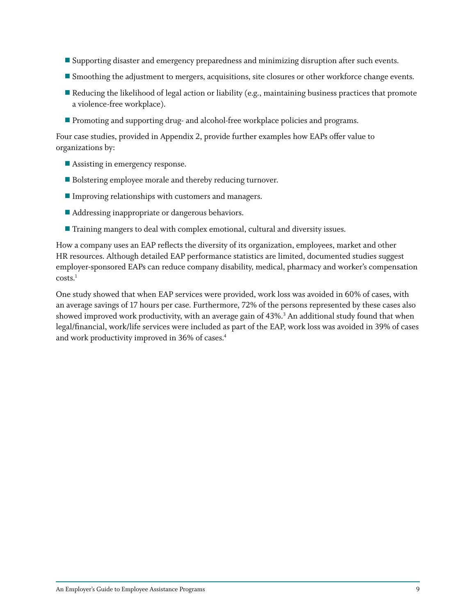- **Supporting disaster and emergency preparedness and minimizing disruption after such events.**
- **Smoothing the adjustment to mergers, acquisitions, site closures or other workforce change events.**
- $\blacksquare$  Reducing the likelihood of legal action or liability (e.g., maintaining business practices that promote a violence-free workplace).
- **Promoting and supporting drug- and alcohol-free workplace policies and programs.**

Four case studies, provided in Appendix 2, provide further examples how EAPs offer value to organizations by:

- $\blacksquare$  Assisting in emergency response.
- $\blacksquare$  Bolstering employee morale and thereby reducing turnover.
- $\blacksquare$  Improving relationships with customers and managers.
- $\blacksquare$  Addressing inappropriate or dangerous behaviors.
- **The Training mangers to deal with complex emotional, cultural and diversity issues.**

How a company uses an EAP reflects the diversity of its organization, employees, market and other HR resources. Although detailed EAP performance statistics are limited, documented studies suggest employer-sponsored EAPs can reduce company disability, medical, pharmacy and worker's compensation costs. 1

One study showed that when EAP services were provided, work loss was avoided in 60% of cases, with an average savings of 17 hours per case. Furthermore, 72% of the persons represented by these cases also showed improved work productivity, with an average gain of 43%. 3 An additional study found that when legal/financial, work/life services were included as part of the EAP, work loss was avoided in 39% of cases and work productivity improved in 36% of cases. 4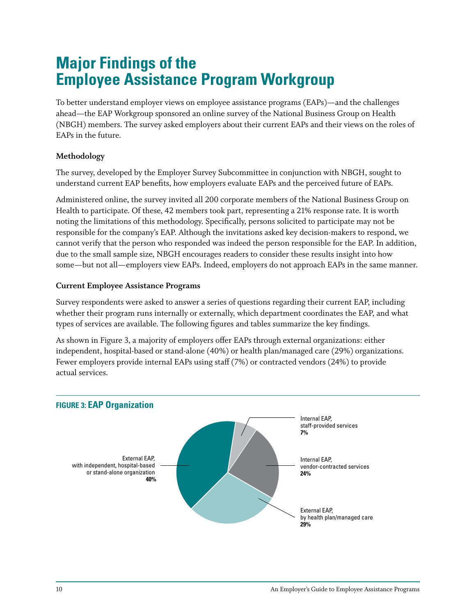# **Major Findings of the Employee Assistance Program Workgroup**

To better understand employer views on employee assistance programs (EAPs)—and the challenges ahead—the EAP Workgroup sponsored an online survey of the National Business Group on Health (NBGH) members. The survey asked employers about their current EAPs and their views on the roles of EAPs in the future.

### **Methodology**

The survey, developed by the Employer Survey Subcommittee in conjunction with NBGH, sought to understand current EAP benefits, how employers evaluate EAPs and the perceived future of EAPs.

Administered online, the survey invited all 200 corporate members of the National Business Group on Health to participate. Of these, 42 members took part, representing a 21% response rate. It is worth noting the limitations of this methodology. Specifically, persons solicited to participate may not be responsible for the company's EAP. Although the invitations asked key decision-makers to respond, we cannot verify that the person who responded was indeed the person responsible for the EAP. In addition, due to the small sample size, NBGH encourages readers to consider these results insight into how some—but not all—employers view EAPs. Indeed, employers do not approach EAPs in the same manner.

#### **Current Employee Assistance Programs**

Survey respondents were asked to answer a series of questions regarding their current EAP, including whether their program runs internally or externally, which department coordinates the EAP, and what types of services are available. The following figures and tables summarize the key findings.

As shown in Figure 3, a majority of employers offer EAPs through external organizations: either independent, hospital-based or stand-alone (40%) or health plan/managed care (29%) organizations. Fewer employers provide internal EAPs using staff (7%) or contracted vendors (24%) to provide actual services.

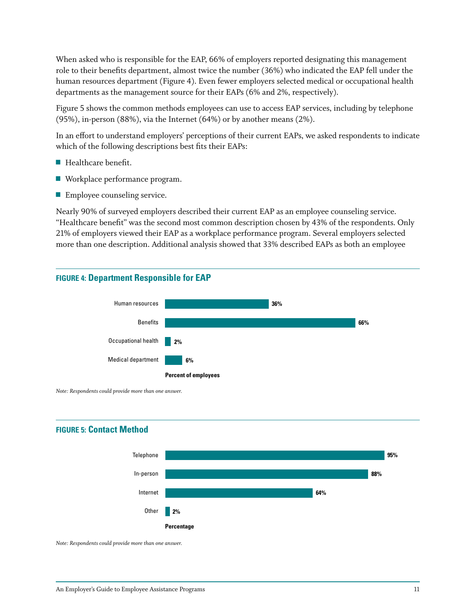When asked who is responsible for the EAP, 66% of employers reported designating this management role to their benefits department, almost twice the number (36%) who indicated the EAP fell under the human resources department (Figure 4). Even fewer employers selected medical or occupational health departments as the management source for their EAPs (6% and 2%, respectively).

Figure 5 shows the common methods employees can use to access EAP services, including by telephone (95%), in-person (88%), via the Internet (64%) or by another means (2%).

In an effort to understand employers' perceptions of their current EAPs, we asked respondents to indicate which of the following descriptions best fits their EAPs:

- $\blacksquare$  Healthcare benefit.
- $\blacksquare$  Workplace performance program.
- $\blacksquare$  Employee counseling service.

Nearly 90% of surveyed employers described their current EAP as an employee counseling service. "Healthcare benefit" was the second most common description chosen by 43% of the respondents. Only 21% of employers viewed their EAP as a workplace performance program. Several employers selected more than one description. Additional analysis showed that 33% described EAPs as both an employee

#### **Figure 4: Department Responsible for EAP**



*Note: Respondents could provide more than one answer.*

#### **Figure 5: Contact Method**



*Note: Respondents could provide more than one answer.*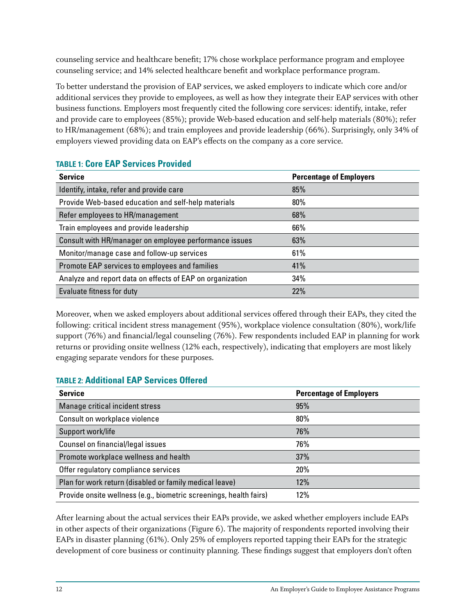counseling service and healthcare benefit; 17% chose workplace performance program and employee counseling service; and 14% selected healthcare benefit and workplace performance program.

To better understand the provision of EAP services, we asked employers to indicate which core and/or additional services they provide to employees, as well as how they integrate their EAP services with other business functions. Employers most frequently cited the following core services: identify, intake, refer and provide care to employees (85%); provide Web-based education and self-help materials (80%); refer to HR/management (68%); and train employees and provide leadership (66%). Surprisingly, only 34% of employers viewed providing data on EAP's effects on the company as a core service.

| <b>Service</b>                                            | <b>Percentage of Employers</b> |
|-----------------------------------------------------------|--------------------------------|
| Identify, intake, refer and provide care                  | 85%                            |
| Provide Web-based education and self-help materials       | 80%                            |
| Refer employees to HR/management                          | 68%                            |
| Train employees and provide leadership                    | 66%                            |
| Consult with HR/manager on employee performance issues    | 63%                            |
| Monitor/manage case and follow-up services                | 61%                            |
| Promote EAP services to employees and families            | 41%                            |
| Analyze and report data on effects of EAP on organization | 34%                            |
| Evaluate fitness for duty                                 | 22%                            |

### **Table 1: Core EAP Services Provided**

Moreover, when we asked employers about additional services offered through their EAPs, they cited the following: critical incident stress management (95%), workplace violence consultation (80%), work/life support (76%) and financial/legal counseling (76%). Few respondents included EAP in planning for work returns or providing onsite wellness (12% each, respectively), indicating that employers are most likely engaging separate vendors for these purposes.

# **Table 2: Additional EAP Services Offered**

| <b>Service</b>                                                     | <b>Percentage of Employers</b> |
|--------------------------------------------------------------------|--------------------------------|
| Manage critical incident stress                                    | 95%                            |
| Consult on workplace violence                                      | 80%                            |
| Support work/life                                                  | 76%                            |
| Counsel on financial/legal issues                                  | 76%                            |
| Promote workplace wellness and health                              | 37%                            |
| Offer regulatory compliance services                               | 20%                            |
| Plan for work return (disabled or family medical leave)            | 12%                            |
| Provide onsite wellness (e.g., biometric screenings, health fairs) | 12%                            |

After learning about the actual services their EAPs provide, we asked whether employers include EAPs in other aspects of their organizations (Figure 6). The majority of respondents reported involving their EAPs in disaster planning (61%). Only 25% of employers reported tapping their EAPs for the strategic development of core business or continuity planning. These findings suggest that employers don't often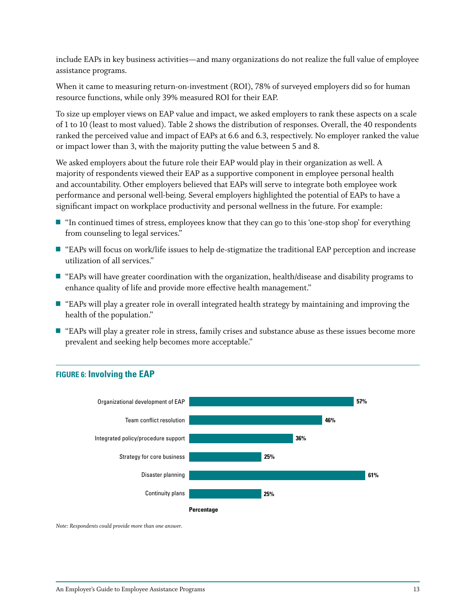include EAPs in key business activities—and many organizations do not realize the full value of employee assistance programs.

When it came to measuring return-on-investment (ROI), 78% of surveyed employers did so for human resource functions, while only 39% measured ROI for their EAP.

To size up employer views on EAP value and impact, we asked employers to rank these aspects on a scale of 1 to 10 (least to most valued). Table 2 shows the distribution of responses. Overall, the 40 respondents ranked the perceived value and impact of EAPs at 6.6 and 6.3, respectively. No employer ranked the value or impact lower than 3, with the majority putting the value between 5 and 8.

We asked employers about the future role their EAP would play in their organization as well. A majority of respondents viewed their EAP as a supportive component in employee personal health and accountability. Other employers believed that EAPs will serve to integrate both employee work performance and personal well-being. Several employers highlighted the potential of EAPs to have a significant impact on workplace productivity and personal wellness in the future. For example:

- $\blacksquare$  "In continued times of stress, employees know that they can go to this 'one-stop shop' for everything from counseling to legal services."
- $\blacksquare$  "EAPs will focus on work/life issues to help de-stigmatize the traditional EAP perception and increase utilization of all services."
- "EAPs will have greater coordination with the organization, health/disease and disability programs to enhance quality of life and provide more effective health management."
- "EAPs will play a greater role in overall integrated health strategy by maintaining and improving the health of the population."
- "EAPs will play a greater role in stress, family crises and substance abuse as these issues become more prevalent and seeking help becomes more acceptable."



### **Figure 6: Involving the EAP**

*Note: Respondents could provide more than one answer.*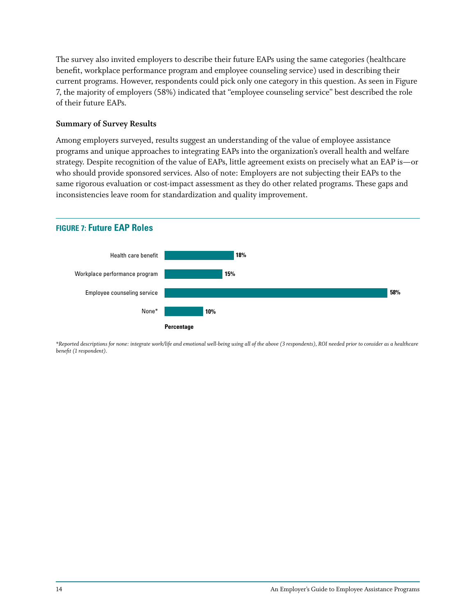The survey also invited employers to describe their future EAPs using the same categories (healthcare benefit, workplace performance program and employee counseling service) used in describing their current programs. However, respondents could pick only one category in this question. As seen in Figure 7, the majority of employers (58%) indicated that "employee counseling service" best described the role of their future EAPs.

#### **Summary of Survey Results**

Among employers surveyed, results suggest an understanding of the value of employee assistance programs and unique approaches to integrating EAPs into the organization's overall health and welfare strategy. Despite recognition of the value of EAPs, little agreement exists on precisely what an EAP is—or who should provide sponsored services. Also of note: Employers are not subjecting their EAPs to the same rigorous evaluation or cost-impact assessment as they do other related programs. These gaps and inconsistencies leave room for standardization and quality improvement.

#### **Figure 7: Future EAP Roles**



*\*Reported descriptions for none: integrate work/life and emotional well-being using all of the above (3 respondents), ROI needed prior to consider as a healthcare benefit (1 respondent).*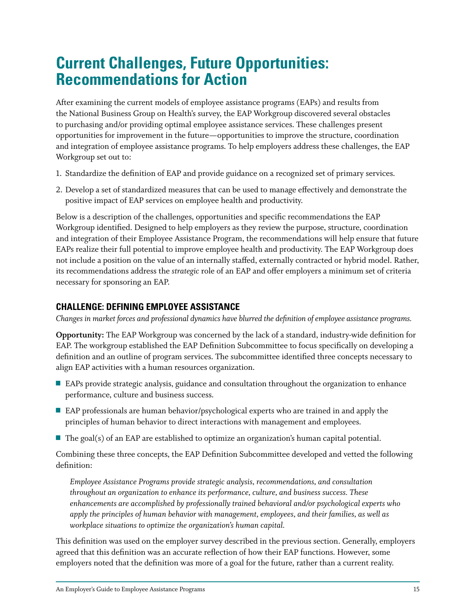# **Current Challenges, Future Opportunities: Recommendations for Action**

After examining the current models of employee assistance programs (EAPs) and results from the National Business Group on Health's survey, the EAP Workgroup discovered several obstacles to purchasing and/or providing optimal employee assistance services. These challenges present opportunities for improvement in the future—opportunities to improve the structure, coordination and integration of employee assistance programs. To help employers address these challenges, the EAP Workgroup set out to:

- 1. Standardize the definition of EAP and provide guidance on a recognized set of primary services.
- 2. Develop a set of standardized measures that can be used to manage effectively and demonstrate the positive impact of EAP services on employee health and productivity.

Below is a description of the challenges, opportunities and specific recommendations the EAP Workgroup identified. Designed to help employers as they review the purpose, structure, coordination and integration of their Employee Assistance Program, the recommendations will help ensure that future EAPs realize their full potential to improve employee health and productivity. The EAP Workgroup does not include a position on the value of an internally staffed, externally contracted or hybrid model. Rather, its recommendations address the *strategic* role of an EAP and offer employers a minimum set of criteria necessary for sponsoring an EAP.

### **Challenge: Defining Employee Assistance**

*Changes in market forces and professional dynamics have blurred the definition of employee assistance programs.* 

**Opportunity:** The EAP Workgroup was concerned by the lack of a standard, industry-wide definition for EAP. The workgroup established the EAP Definition Subcommittee to focus specifically on developing a definition and an outline of program services. The subcommittee identified three concepts necessary to align EAP activities with a human resources organization.

- EAPs provide strategic analysis, guidance and consultation throughout the organization to enhance performance, culture and business success.
- EAP professionals are human behavior/psychological experts who are trained in and apply the principles of human behavior to direct interactions with management and employees.
- $\blacksquare$  The goal(s) of an EAP are established to optimize an organization's human capital potential.

Combining these three concepts, the EAP Definition Subcommittee developed and vetted the following definition:

*Employee Assistance Programs provide strategic analysis, recommendations, and consultation throughout an organization to enhance its performance, culture, and business success. These enhancements are accomplished by professionally trained behavioral and/or psychological experts who apply the principles of human behavior with management, employees, and their families, as well as workplace situations to optimize the organization's human capital.*

This definition was used on the employer survey described in the previous section. Generally, employers agreed that this definition was an accurate reflection of how their EAP functions. However, some employers noted that the definition was more of a goal for the future, rather than a current reality.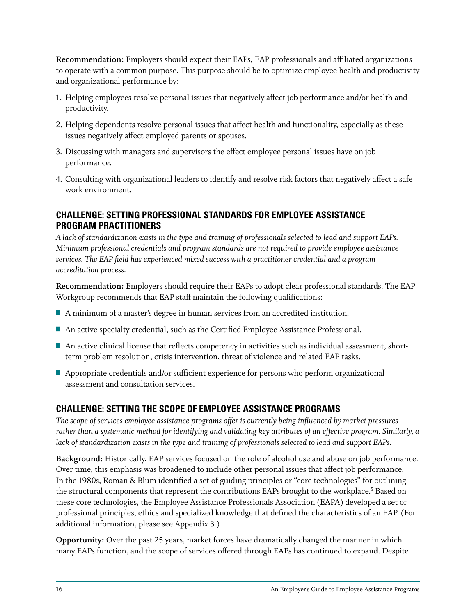**Recommendation:** Employers should expect their EAPs, EAP professionals and affiliated organizations to operate with a common purpose. This purpose should be to optimize employee health and productivity and organizational performance by:

- 1. Helping employees resolve personal issues that negatively affect job performance and/or health and productivity.
- 2. Helping dependents resolve personal issues that affect health and functionality, especially as these issues negatively affect employed parents or spouses.
- 3. Discussing with managers and supervisors the effect employee personal issues have on job performance.
- 4. Consulting with organizational leaders to identify and resolve risk factors that negatively affect a safe work environment.

### **Challenge: Setting Professional Standards for Employee Assistance Program Practitioners**

*A lack of standardization exists in the type and training of professionals selected to lead and support EAPs. Minimum professional credentials and program standards are not required to provide employee assistance services. The EAP field has experienced mixed success with a practitioner credential and a program accreditation process.* 

**Recommendation:** Employers should require their EAPs to adopt clear professional standards. The EAP Workgroup recommends that EAP staff maintain the following qualifications:

- A minimum of a master's degree in human services from an accredited institution.
- An active specialty credential, such as the Certified Employee Assistance Professional.
- An active clinical license that reflects competency in activities such as individual assessment, shortterm problem resolution, crisis intervention, threat of violence and related EAP tasks.
- $\blacksquare$  Appropriate credentials and/or sufficient experience for persons who perform organizational assessment and consultation services.

# **Challenge: Setting the Scope of Employee Assistance Programs**

*The scope of services employee assistance programs offer is currently being influenced by market pressures rather than a systematic method for identifying and validating key attributes of an effective program. Similarly, a lack of standardization exists in the type and training of professionals selected to lead and support EAPs.*

**Background:** Historically, EAP services focused on the role of alcohol use and abuse on job performance. Over time, this emphasis was broadened to include other personal issues that affect job performance. In the 1980s, Roman & Blum identified a set of guiding principles or "core technologies" for outlining the structural components that represent the contributions EAPs brought to the workplace.<sup>5</sup> Based on these core technologies, the Employee Assistance Professionals Association (EAPA) developed a set of professional principles, ethics and specialized knowledge that defined the characteristics of an EAP. (For additional information, please see Appendix 3.)

**Opportunity:** Over the past 25 years, market forces have dramatically changed the manner in which many EAPs function, and the scope of services offered through EAPs has continued to expand. Despite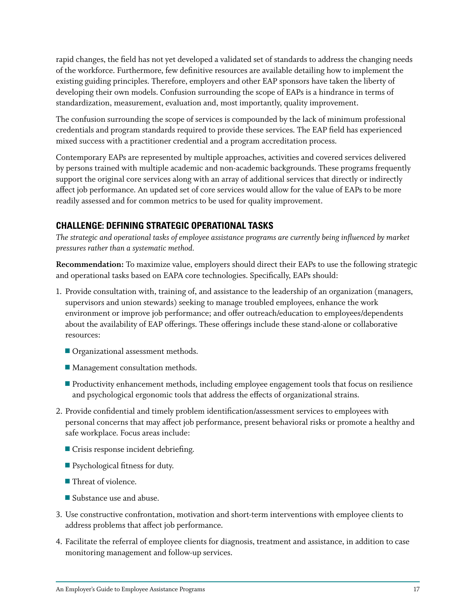rapid changes, the field has not yet developed a validated set of standards to address the changing needs of the workforce. Furthermore, few definitive resources are available detailing how to implement the existing guiding principles. Therefore, employers and other EAP sponsors have taken the liberty of developing their own models. Confusion surrounding the scope of EAPs is a hindrance in terms of standardization, measurement, evaluation and, most importantly, quality improvement.

The confusion surrounding the scope of services is compounded by the lack of minimum professional credentials and program standards required to provide these services. The EAP field has experienced mixed success with a practitioner credential and a program accreditation process.

Contemporary EAPs are represented by multiple approaches, activities and covered services delivered by persons trained with multiple academic and non-academic backgrounds. These programs frequently support the original core services along with an array of additional services that directly or indirectly affect job performance. An updated set of core services would allow for the value of EAPs to be more readily assessed and for common metrics to be used for quality improvement.

# **Challenge: Defining Strategic Operational Tasks**

*The strategic and operational tasks of employee assistance programs are currently being influenced by market pressures rather than a systematic method.* 

**Recommendation:** To maximize value, employers should direct their EAPs to use the following strategic and operational tasks based on EAPA core technologies. Specifically, EAPs should:

- 1. Provide consultation with, training of, and assistance to the leadership of an organization (managers, supervisors and union stewards) seeking to manage troubled employees, enhance the work environment or improve job performance; and offer outreach/education to employees/dependents about the availability of EAP offerings. These offerings include these stand-alone or collaborative resources:
	- Organizational assessment methods.
	- $\blacksquare$  Management consultation methods.
	- Productivity enhancement methods, including employee engagement tools that focus on resilience and psychological ergonomic tools that address the effects of organizational strains.
- 2. Provide confidential and timely problem identification/assessment services to employees with personal concerns that may affect job performance, present behavioral risks or promote a healthy and safe workplace. Focus areas include:
	- $\blacksquare$  Crisis response incident debriefing.
	- $\blacksquare$  Psychological fitness for duty.
	- $\blacksquare$  Threat of violence.
	- $\blacksquare$  Substance use and abuse.
- 3. Use constructive confrontation, motivation and short-term interventions with employee clients to address problems that affect job performance.
- 4. Facilitate the referral of employee clients for diagnosis, treatment and assistance, in addition to case monitoring management and follow-up services.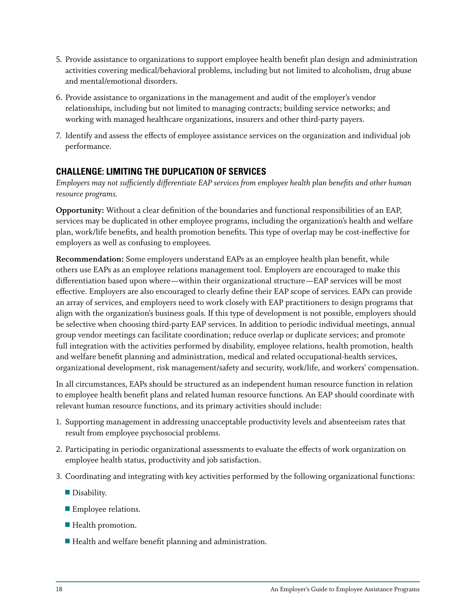- 5. Provide assistance to organizations to support employee health benefit plan design and administration activities covering medical/behavioral problems, including but not limited to alcoholism, drug abuse and mental/emotional disorders.
- 6. Provide assistance to organizations in the management and audit of the employer's vendor relationships, including but not limited to managing contracts; building service networks; and working with managed healthcare organizations, insurers and other third-party payers.
- 7. Identify and assess the effects of employee assistance services on the organization and individual job performance.

# **Challenge: Limiting the Duplication of Services**

*Employers may not sufficiently differentiate EAP services from employee health plan benefits and other human resource programs.* 

**Opportunity:** Without a clear definition of the boundaries and functional responsibilities of an EAP, services may be duplicated in other employee programs, including the organization's health and welfare plan, work/life benefits, and health promotion benefits. This type of overlap may be cost-ineffective for employers as well as confusing to employees.

**Recommendation:** Some employers understand EAPs as an employee health plan benefit, while others use EAPs as an employee relations management tool. Employers are encouraged to make this differentiation based upon where—within their organizational structure—EAP services will be most effective. Employers are also encouraged to clearly define their EAP scope of services. EAPs can provide an array of services, and employers need to work closely with EAP practitioners to design programs that align with the organization's business goals. If this type of development is not possible, employers should be selective when choosing third-party EAP services. In addition to periodic individual meetings, annual group vendor meetings can facilitate coordination; reduce overlap or duplicate services; and promote full integration with the activities performed by disability, employee relations, health promotion, health and welfare benefit planning and administration, medical and related occupational-health services, organizational development, risk management/safety and security, work/life, and workers' compensation.

In all circumstances, EAPs should be structured as an independent human resource function in relation to employee health benefit plans and related human resource functions. An EAP should coordinate with relevant human resource functions, and its primary activities should include:

- 1. Supporting management in addressing unacceptable productivity levels and absenteeism rates that result from employee psychosocial problems.
- 2. Participating in periodic organizational assessments to evaluate the effects of work organization on employee health status, productivity and job satisfaction.
- 3. Coordinating and integrating with key activities performed by the following organizational functions:
	- $\blacksquare$  Disability.
	- **Employee relations.**
	- **Health promotion.**
	- Health and welfare benefit planning and administration.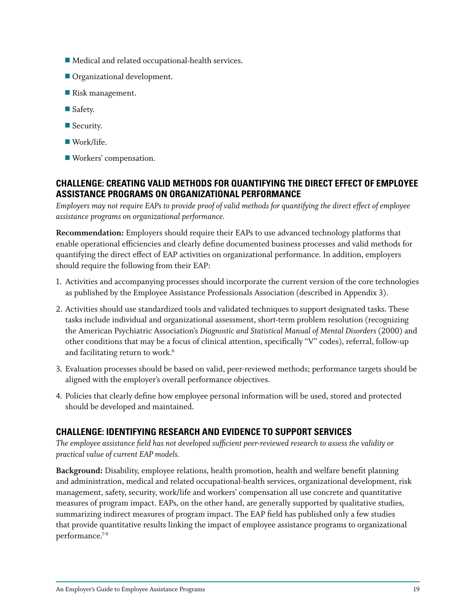- $\blacksquare$  Medical and related occupational-health services.
- Organizational development.
- Risk management.
- $\blacksquare$  Safety.
- $\blacksquare$  Security.
- $\blacksquare$  Work/life.
- **U** Workers' compensation.

### **Challenge: Creating Valid Methods for Quantifying the Direct Effect of Employee Assistance Programs on Organizational Performance**

*Employers may not require EAPs to provide proof of valid methods for quantifying the direct effect of employee assistance programs on organizational performance.*

**Recommendation:** Employers should require their EAPs to use advanced technology platforms that enable operational efficiencies and clearly define documented business processes and valid methods for quantifying the direct effect of EAP activities on organizational performance. In addition, employers should require the following from their EAP:

- 1. Activities and accompanying processes should incorporate the current version of the core technologies as published by the Employee Assistance Professionals Association (described in Appendix 3).
- 2. Activities should use standardized tools and validated techniques to support designated tasks. These tasks include individual and organizational assessment, short-term problem resolution (recognizing the American Psychiatric Association's *Diagnostic and Statistical Manual of Mental Disorders* (2000) and other conditions that may be a focus of clinical attention, specifically "V" codes), referral, follow-up and facilitating return to work. 6
- 3. Evaluation processes should be based on valid, peer-reviewed methods; performance targets should be aligned with the employer's overall performance objectives.
- 4. Policies that clearly define how employee personal information will be used, stored and protected should be developed and maintained.

### **Challenge: Identifying Research and Evidence to Support Services**

*The employee assistance field has not developed sufficient peer-reviewed research to assess the validity or practical value of current EAP models.*

**Background:** Disability, employee relations, health promotion, health and welfare benefit planning and administration, medical and related occupational-health services, organizational development, risk management, safety, security, work/life and workers' compensation all use concrete and quantitative measures of program impact. EAPs, on the other hand, are generally supported by qualitative studies, summarizing indirect measures of program impact. The EAP field has published only a few studies that provide quantitative results linking the impact of employee assistance programs to organizational performance. 7-9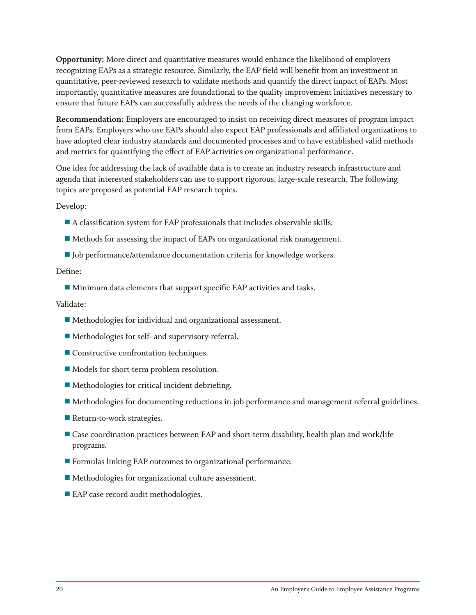**Opportunity:** More direct and quantitative measures would enhance the likelihood of employers recognizing EAPs as a strategic resource. Similarly, the EAP field will benefit from an investment in quantitative, peer-reviewed research to validate methods and quantify the direct impact of EAPs. Most importantly, quantitative measures are foundational to the quality improvement initiatives necessary to ensure that future EAPs can successfully address the needs of the changing workforce.

**Recommendation:** Employers are encouraged to insist on receiving direct measures of program impact from EAPs. Employers who use EAPs should also expect EAP professionals and affiliated organizations to have adopted clear industry standards and documented processes and to have established valid methods and metrics for quantifying the effect of EAP activities on organizational performance.

One idea for addressing the lack of available data is to create an industry research infrastructure and agenda that interested stakeholders can use to support rigorous, large-scale research. The following topics are proposed as potential EAP research topics.

Develop:

- $\blacksquare$  A classification system for EAP professionals that includes observable skills.
- $\blacksquare$  Methods for assessing the impact of EAPs on organizational risk management.
- Job performance/attendance documentation criteria for knowledge workers.

#### Define:

 $\blacksquare$  Minimum data elements that support specific EAP activities and tasks.

#### Validate:

- $\blacksquare$  Methodologies for individual and organizational assessment.
- $\blacksquare$  Methodologies for self- and supervisory-referral.
- $\blacksquare$  Constructive confrontation techniques.
- $\blacksquare$  Models for short-term problem resolution.
- $\blacksquare$  Methodologies for critical incident debriefing.
- $\blacksquare$  Methodologies for documenting reductions in job performance and management referral guidelines.
- $\blacksquare$  Return-to-work strategies.
- Case coordination practices between EAP and short-term disability, health plan and work/life programs.
- $\blacksquare$  Formulas linking EAP outcomes to organizational performance.
- $\blacksquare$  Methodologies for organizational culture assessment.
- $\blacksquare$  EAP case record audit methodologies.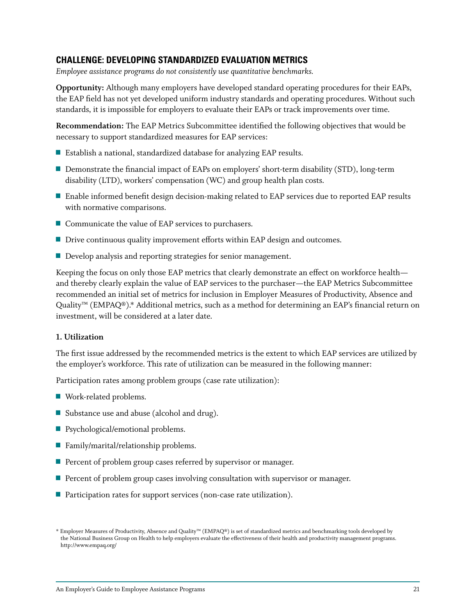### **Challenge: Developing Standardized Evaluation Metrics**

*Employee assistance programs do not consistently use quantitative benchmarks.*

**Opportunity:** Although many employers have developed standard operating procedures for their EAPs, the EAP field has not yet developed uniform industry standards and operating procedures. Without such standards, it is impossible for employers to evaluate their EAPs or track improvements over time.

**Recommendation:** The EAP Metrics Subcommittee identified the following objectives that would be necessary to support standardized measures for EAP services:

- Establish a national, standardized database for analyzing EAP results.
- Demonstrate the financial impact of EAPs on employers' short-term disability (STD), long-term disability (LTD), workers' compensation (WC) and group health plan costs.
- **E** Enable informed benefit design decision-making related to EAP services due to reported EAP results with normative comparisons.
- $\blacksquare$  Communicate the value of EAP services to purchasers.
- $\blacksquare$  Drive continuous quality improvement efforts within EAP design and outcomes.
- $\blacksquare$  Develop analysis and reporting strategies for senior management.

Keeping the focus on only those EAP metrics that clearly demonstrate an effect on workforce health and thereby clearly explain the value of EAP services to the purchaser—the EAP Metrics Subcommittee recommended an initial set of metrics for inclusion in Employer Measures of Productivity, Absence and Quality™ (EMPAQ®).\* Additional metrics, such as a method for determining an EAP's financial return on investment, will be considered at a later date.

#### **1. Utilization**

The first issue addressed by the recommended metrics is the extent to which EAP services are utilized by the employer's workforce. This rate of utilization can be measured in the following manner:

Participation rates among problem groups (case rate utilization):

- $\blacksquare$  Work-related problems.
- Substance use and abuse (alcohol and drug).
- $\blacksquare$  Psychological/emotional problems.
- Family/marital/relationship problems.
- Percent of problem group cases referred by supervisor or manager.
- Percent of problem group cases involving consultation with supervisor or manager.
- Participation rates for support services (non-case rate utilization).

<sup>\*</sup> Employer Measures of Productivity, Absence and Quality™ (EMPAQ®) is set of standardized metrics and benchmarking tools developed by the National Business Group on Health to help employers evaluate the effectiveness of their health and productivity management programs. http://www.empaq.org/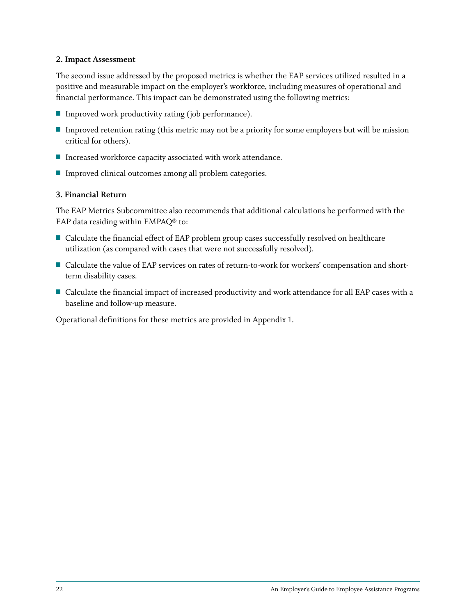#### **2. Impact Assessment**

The second issue addressed by the proposed metrics is whether the EAP services utilized resulted in a positive and measurable impact on the employer's workforce, including measures of operational and financial performance. This impact can be demonstrated using the following metrics:

- $\blacksquare$  Improved work productivity rating (job performance).
- **Improved retention rating (this metric may not be a priority for some employers but will be mission** critical for others).
- $\blacksquare$  Increased workforce capacity associated with work attendance.
- $\blacksquare$  Improved clinical outcomes among all problem categories.

#### **3. Financial Return**

The EAP Metrics Subcommittee also recommends that additional calculations be performed with the EAP data residing within EMPAQ® to:

- Calculate the financial effect of EAP problem group cases successfully resolved on healthcare utilization (as compared with cases that were not successfully resolved).
- Calculate the value of EAP services on rates of return-to-work for workers' compensation and shortterm disability cases.
- Calculate the financial impact of increased productivity and work attendance for all EAP cases with a baseline and follow-up measure.

Operational definitions for these metrics are provided in Appendix 1.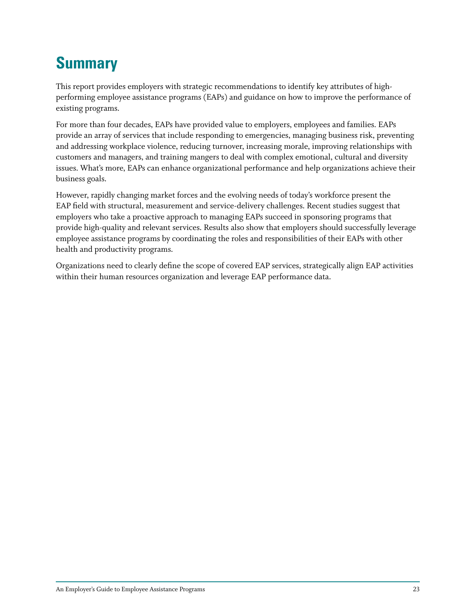# **Summary**

This report provides employers with strategic recommendations to identify key attributes of highperforming employee assistance programs (EAPs) and guidance on how to improve the performance of existing programs.

For more than four decades, EAPs have provided value to employers, employees and families. EAPs provide an array of services that include responding to emergencies, managing business risk, preventing and addressing workplace violence, reducing turnover, increasing morale, improving relationships with customers and managers, and training mangers to deal with complex emotional, cultural and diversity issues. What's more, EAPs can enhance organizational performance and help organizations achieve their business goals.

However, rapidly changing market forces and the evolving needs of today's workforce present the EAP field with structural, measurement and service-delivery challenges. Recent studies suggest that employers who take a proactive approach to managing EAPs succeed in sponsoring programs that provide high-quality and relevant services. Results also show that employers should successfully leverage employee assistance programs by coordinating the roles and responsibilities of their EAPs with other health and productivity programs.

Organizations need to clearly define the scope of covered EAP services, strategically align EAP activities within their human resources organization and leverage EAP performance data.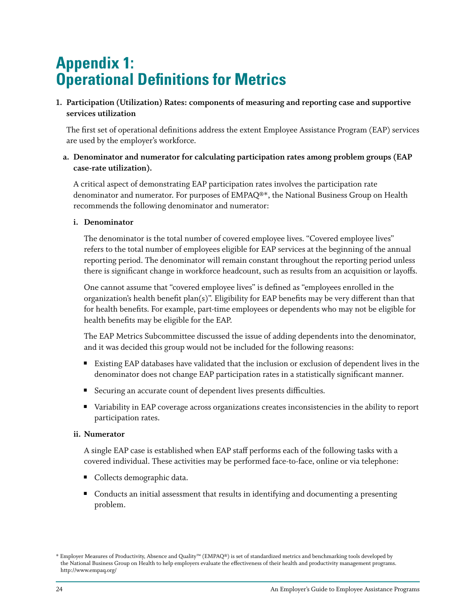# **Appendix 1: Operational Definitions for Metrics**

**1. Participation (Utilization) Rates: components of measuring and reporting case and supportive services utilization**

The first set of operational definitions address the extent Employee Assistance Program (EAP) services are used by the employer's workforce.

**a. Denominator and numerator for calculating participation rates among problem groups (EAP case-rate utilization).**

A critical aspect of demonstrating EAP participation rates involves the participation rate denominator and numerator. For purposes of EMPAQ®\*, the National Business Group on Health recommends the following denominator and numerator:

#### **i. Denominator**

The denominator is the total number of covered employee lives. "Covered employee lives" refers to the total number of employees eligible for EAP services at the beginning of the annual reporting period. The denominator will remain constant throughout the reporting period unless there is significant change in workforce headcount, such as results from an acquisition or layoffs.

One cannot assume that "covered employee lives" is defined as "employees enrolled in the organization's health benefit plan(s)". Eligibility for EAP benefits may be very different than that for health benefits. For example, part-time employees or dependents who may not be eligible for health benefits may be eligible for the EAP.

The EAP Metrics Subcommittee discussed the issue of adding dependents into the denominator, and it was decided this group would not be included for the following reasons:

- **Existing EAP databases have validated that the inclusion or exclusion of dependent lives in the** denominator does not change EAP participation rates in a statistically significant manner.
- Securing an accurate count of dependent lives presents difficulties.
- u Variability in EAP coverage across organizations creates inconsistencies in the ability to report participation rates.

#### **ii. Numerator**

A single EAP case is established when EAP staff performs each of the following tasks with a covered individual. These activities may be performed face-to-face, online or via telephone:

- **U** Collects demographic data.
- **Conducts an initial assessment that results in identifying and documenting a presenting** problem.

<sup>\*</sup> Employer Measures of Productivity, Absence and Quality™ (EMPAQ®) is set of standardized metrics and benchmarking tools developed by the National Business Group on Health to help employers evaluate the effectiveness of their health and productivity management programs. http://www.empaq.org/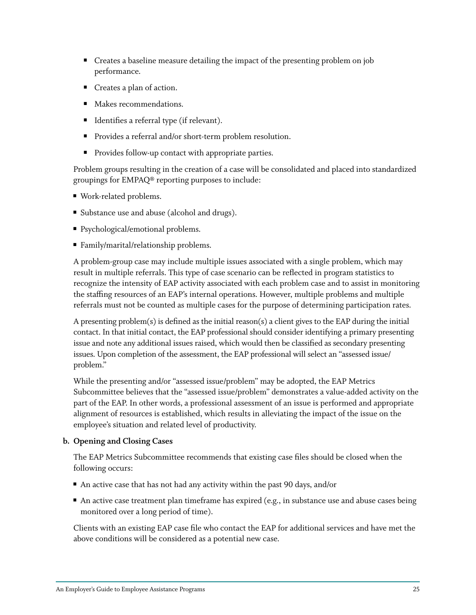- Creates a baseline measure detailing the impact of the presenting problem on job performance.
- $\blacksquare$  Creates a plan of action.
- **Makes recommendations.**
- Identifies a referral type (if relevant).
- Provides a referral and/or short-term problem resolution.
- **Provides follow-up contact with appropriate parties.**

Problem groups resulting in the creation of a case will be consolidated and placed into standardized groupings for EMPAQ® reporting purposes to include:

- Work-related problems.
- Substance use and abuse (alcohol and drugs).
- Psychological/emotional problems.
- Family/marital/relationship problems.

A problem-group case may include multiple issues associated with a single problem, which may result in multiple referrals. This type of case scenario can be reflected in program statistics to recognize the intensity of EAP activity associated with each problem case and to assist in monitoring the staffing resources of an EAP's internal operations. However, multiple problems and multiple referrals must not be counted as multiple cases for the purpose of determining participation rates.

A presenting problem(s) is defined as the initial reason(s) a client gives to the EAP during the initial contact. In that initial contact, the EAP professional should consider identifying a primary presenting issue and note any additional issues raised, which would then be classified as secondary presenting issues. Upon completion of the assessment, the EAP professional will select an "assessed issue/ problem."

While the presenting and/or "assessed issue/problem" may be adopted, the EAP Metrics Subcommittee believes that the "assessed issue/problem" demonstrates a value-added activity on the part of the EAP. In other words, a professional assessment of an issue is performed and appropriate alignment of resources is established, which results in alleviating the impact of the issue on the employee's situation and related level of productivity.

#### **b. Opening and Closing Cases**

The EAP Metrics Subcommittee recommends that existing case files should be closed when the following occurs:

- $\blacksquare$  An active case that has not had any activity within the past 90 days, and/or
- $\blacksquare$  An active case treatment plan timeframe has expired (e.g., in substance use and abuse cases being monitored over a long period of time).

Clients with an existing EAP case file who contact the EAP for additional services and have met the above conditions will be considered as a potential new case.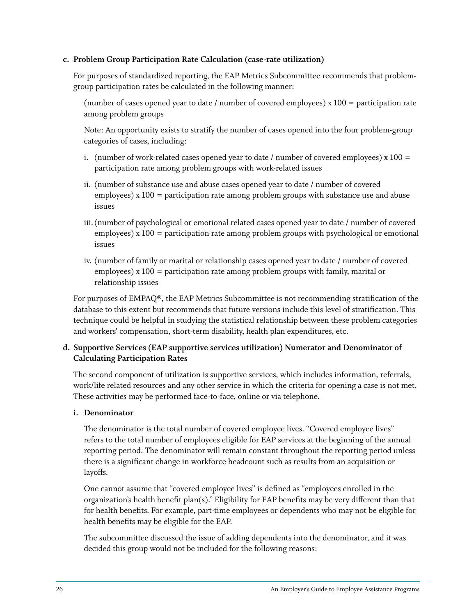#### **c. Problem Group Participation Rate Calculation (case-rate utilization)**

For purposes of standardized reporting, the EAP Metrics Subcommittee recommends that problemgroup participation rates be calculated in the following manner:

(number of cases opened year to date / number of covered employees) x 100 = participation rate among problem groups

Note: An opportunity exists to stratify the number of cases opened into the four problem-group categories of cases, including:

- i. (number of work-related cases opened year to date / number of covered employees)  $x 100 =$ participation rate among problem groups with work-related issues
- ii. (number of substance use and abuse cases opened year to date / number of covered employees) x 100 = participation rate among problem groups with substance use and abuse issues
- iii. (number of psychological or emotional related cases opened year to date / number of covered employees) x 100 = participation rate among problem groups with psychological or emotional issues
- iv. (number of family or marital or relationship cases opened year to date / number of covered employees) x 100 = participation rate among problem groups with family, marital or relationship issues

For purposes of EMPAQ®, the EAP Metrics Subcommittee is not recommending stratification of the database to this extent but recommends that future versions include this level of stratification. This technique could be helpful in studying the statistical relationship between these problem categories and workers' compensation, short-term disability, health plan expenditures, etc.

#### **d. Supportive Services (EAP supportive services utilization) Numerator and Denominator of Calculating Participation Rates**

The second component of utilization is supportive services, which includes information, referrals, work/life related resources and any other service in which the criteria for opening a case is not met. These activities may be performed face-to-face, online or via telephone.

#### **i. Denominator**

The denominator is the total number of covered employee lives. "Covered employee lives" refers to the total number of employees eligible for EAP services at the beginning of the annual reporting period. The denominator will remain constant throughout the reporting period unless there is a significant change in workforce headcount such as results from an acquisition or layoffs.

One cannot assume that "covered employee lives" is defined as "employees enrolled in the organization's health benefit plan(s)." Eligibility for EAP benefits may be very different than that for health benefits. For example, part-time employees or dependents who may not be eligible for health benefits may be eligible for the EAP.

The subcommittee discussed the issue of adding dependents into the denominator, and it was decided this group would not be included for the following reasons: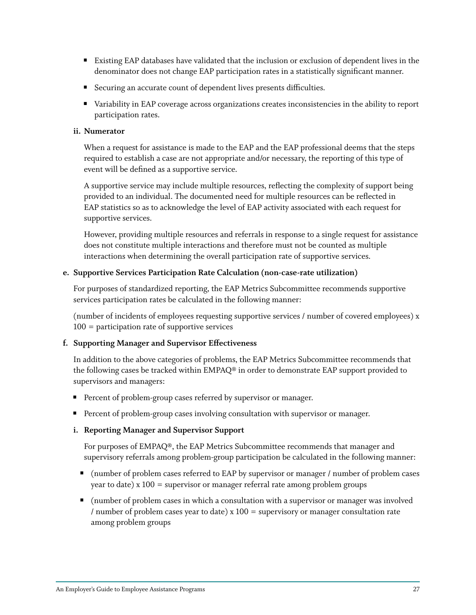- Existing EAP databases have validated that the inclusion or exclusion of dependent lives in the denominator does not change EAP participation rates in a statistically significant manner.
- Securing an accurate count of dependent lives presents difficulties.
- variability in EAP coverage across organizations creates inconsistencies in the ability to report participation rates.

#### **ii. Numerator**

When a request for assistance is made to the EAP and the EAP professional deems that the steps required to establish a case are not appropriate and/or necessary, the reporting of this type of event will be defined as a supportive service.

A supportive service may include multiple resources, reflecting the complexity of support being provided to an individual. The documented need for multiple resources can be reflected in EAP statistics so as to acknowledge the level of EAP activity associated with each request for supportive services.

However, providing multiple resources and referrals in response to a single request for assistance does not constitute multiple interactions and therefore must not be counted as multiple interactions when determining the overall participation rate of supportive services.

#### **e. Supportive Services Participation Rate Calculation (non-case-rate utilization)**

For purposes of standardized reporting, the EAP Metrics Subcommittee recommends supportive services participation rates be calculated in the following manner:

(number of incidents of employees requesting supportive services / number of covered employees) x 100 = participation rate of supportive services

#### **f. Supporting Manager and Supervisor Effectiveness**

In addition to the above categories of problems, the EAP Metrics Subcommittee recommends that the following cases be tracked within EMPAQ® in order to demonstrate EAP support provided to supervisors and managers:

- **Percent of problem-group cases referred by supervisor or manager.**
- **Percent of problem-group cases involving consultation with supervisor or manager.**

#### **i. Reporting Manager and Supervisor Support**

For purposes of EMPAQ®, the EAP Metrics Subcommittee recommends that manager and supervisory referrals among problem-group participation be calculated in the following manner:

- (number of problem cases referred to EAP by supervisor or manager / number of problem cases year to date) x 100 = supervisor or manager referral rate among problem groups
- u (number of problem cases in which a consultation with a supervisor or manager was involved / number of problem cases year to date)  $x 100 =$  supervisory or manager consultation rate among problem groups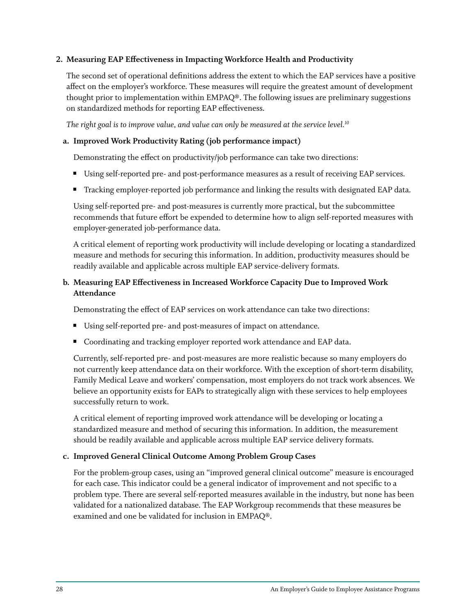#### **2. Measuring EAP Effectiveness in Impacting Workforce Health and Productivity**

The second set of operational definitions address the extent to which the EAP services have a positive affect on the employer's workforce. These measures will require the greatest amount of development thought prior to implementation within EMPAQ®. The following issues are preliminary suggestions on standardized methods for reporting EAP effectiveness.

*The right goal is to improve value, and value can only be measured at the service level.10*

#### **a. Improved Work Productivity Rating (job performance impact)**

Demonstrating the effect on productivity/job performance can take two directions:

- Using self-reported pre- and post-performance measures as a result of receiving EAP services.
- Tracking employer-reported job performance and linking the results with designated EAP data.

Using self-reported pre- and post-measures is currently more practical, but the subcommittee recommends that future effort be expended to determine how to align self-reported measures with employer-generated job-performance data.

A critical element of reporting work productivity will include developing or locating a standardized measure and methods for securing this information. In addition, productivity measures should be readily available and applicable across multiple EAP service-delivery formats.

#### **b. Measuring EAP Effectiveness in Increased Workforce Capacity Due to Improved Work Attendance**

Demonstrating the effect of EAP services on work attendance can take two directions:

- Using self-reported pre- and post-measures of impact on attendance.
- Coordinating and tracking employer reported work attendance and EAP data.

Currently, self-reported pre- and post-measures are more realistic because so many employers do not currently keep attendance data on their workforce. With the exception of short-term disability, Family Medical Leave and workers' compensation, most employers do not track work absences. We believe an opportunity exists for EAPs to strategically align with these services to help employees successfully return to work.

A critical element of reporting improved work attendance will be developing or locating a standardized measure and method of securing this information. In addition, the measurement should be readily available and applicable across multiple EAP service delivery formats.

#### **c. Improved General Clinical Outcome Among Problem Group Cases**

For the problem-group cases, using an "improved general clinical outcome" measure is encouraged for each case. This indicator could be a general indicator of improvement and not specific to a problem type. There are several self-reported measures available in the industry, but none has been validated for a nationalized database. The EAP Workgroup recommends that these measures be examined and one be validated for inclusion in EMPAQ®.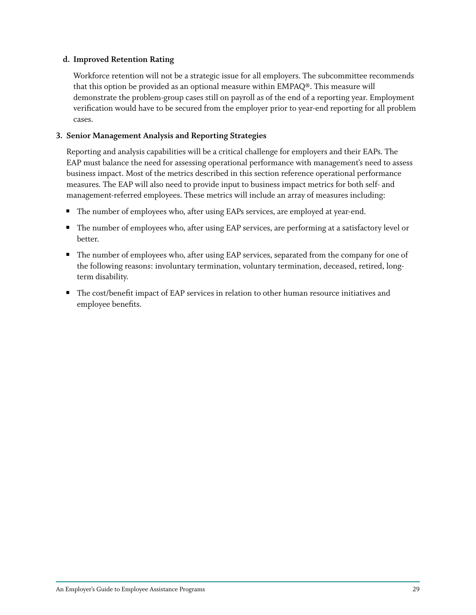#### **d. Improved Retention Rating**

Workforce retention will not be a strategic issue for all employers. The subcommittee recommends that this option be provided as an optional measure within EMPAQ®. This measure will demonstrate the problem-group cases still on payroll as of the end of a reporting year. Employment verification would have to be secured from the employer prior to year-end reporting for all problem cases.

#### **3. Senior Management Analysis and Reporting Strategies**

Reporting and analysis capabilities will be a critical challenge for employers and their EAPs. The EAP must balance the need for assessing operational performance with management's need to assess business impact. Most of the metrics described in this section reference operational performance measures. The EAP will also need to provide input to business impact metrics for both self- and management-referred employees. These metrics will include an array of measures including:

- The number of employees who, after using EAPs services, are employed at year-end.
- The number of employees who, after using EAP services, are performing at a satisfactory level or better.
- The number of employees who, after using EAP services, separated from the company for one of the following reasons: involuntary termination, voluntary termination, deceased, retired, longterm disability.
- The cost/benefit impact of EAP services in relation to other human resource initiatives and employee benefits.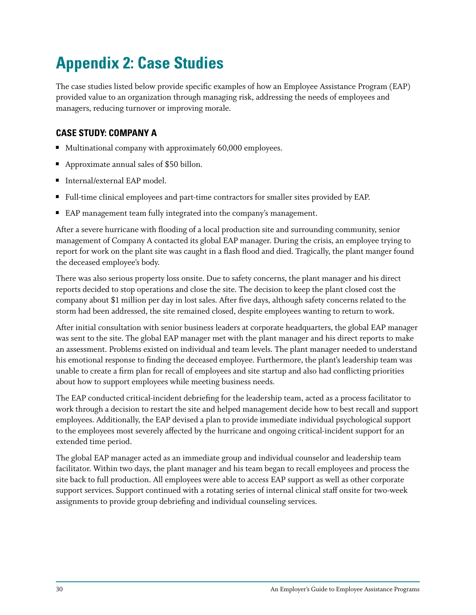# **Appendix 2: Case Studies**

The case studies listed below provide specific examples of how an Employee Assistance Program (EAP) provided value to an organization through managing risk, addressing the needs of employees and managers, reducing turnover or improving morale.

# **CASE STUDY: Company A**

- $\blacksquare$  Multinational company with approximately 60,000 employees.
- Approximate annual sales of \$50 billon.
- Internal/external EAP model.
- Full-time clinical employees and part-time contractors for smaller sites provided by EAP.
- EAP management team fully integrated into the company's management.

After a severe hurricane with flooding of a local production site and surrounding community, senior management of Company A contacted its global EAP manager. During the crisis, an employee trying to report for work on the plant site was caught in a flash flood and died. Tragically, the plant manger found the deceased employee's body.

There was also serious property loss onsite. Due to safety concerns, the plant manager and his direct reports decided to stop operations and close the site. The decision to keep the plant closed cost the company about \$1 million per day in lost sales. After five days, although safety concerns related to the storm had been addressed, the site remained closed, despite employees wanting to return to work.

After initial consultation with senior business leaders at corporate headquarters, the global EAP manager was sent to the site. The global EAP manager met with the plant manager and his direct reports to make an assessment. Problems existed on individual and team levels. The plant manager needed to understand his emotional response to finding the deceased employee. Furthermore, the plant's leadership team was unable to create a firm plan for recall of employees and site startup and also had conflicting priorities about how to support employees while meeting business needs.

The EAP conducted critical-incident debriefing for the leadership team, acted as a process facilitator to work through a decision to restart the site and helped management decide how to best recall and support employees. Additionally, the EAP devised a plan to provide immediate individual psychological support to the employees most severely affected by the hurricane and ongoing critical-incident support for an extended time period.

The global EAP manager acted as an immediate group and individual counselor and leadership team facilitator. Within two days, the plant manager and his team began to recall employees and process the site back to full production. All employees were able to access EAP support as well as other corporate support services. Support continued with a rotating series of internal clinical staff onsite for two-week assignments to provide group debriefing and individual counseling services.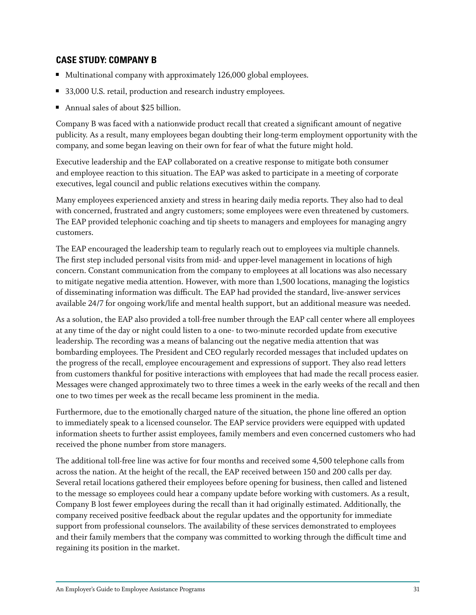### **CASE STUDY: Company B**

- $\blacksquare$  Multinational company with approximately 126,000 global employees.
- 33,000 U.S. retail, production and research industry employees.
- Annual sales of about \$25 billion.

Company B was faced with a nationwide product recall that created a significant amount of negative publicity. As a result, many employees began doubting their long-term employment opportunity with the company, and some began leaving on their own for fear of what the future might hold.

Executive leadership and the EAP collaborated on a creative response to mitigate both consumer and employee reaction to this situation. The EAP was asked to participate in a meeting of corporate executives, legal council and public relations executives within the company.

Many employees experienced anxiety and stress in hearing daily media reports. They also had to deal with concerned, frustrated and angry customers; some employees were even threatened by customers. The EAP provided telephonic coaching and tip sheets to managers and employees for managing angry customers.

The EAP encouraged the leadership team to regularly reach out to employees via multiple channels. The first step included personal visits from mid- and upper-level management in locations of high concern. Constant communication from the company to employees at all locations was also necessary to mitigate negative media attention. However, with more than 1,500 locations, managing the logistics of disseminating information was difficult. The EAP had provided the standard, live-answer services available 24/7 for ongoing work/life and mental health support, but an additional measure was needed.

As a solution, the EAP also provided a toll-free number through the EAP call center where all employees at any time of the day or night could listen to a one- to two-minute recorded update from executive leadership. The recording was a means of balancing out the negative media attention that was bombarding employees. The President and CEO regularly recorded messages that included updates on the progress of the recall, employee encouragement and expressions of support. They also read letters from customers thankful for positive interactions with employees that had made the recall process easier. Messages were changed approximately two to three times a week in the early weeks of the recall and then one to two times per week as the recall became less prominent in the media.

Furthermore, due to the emotionally charged nature of the situation, the phone line offered an option to immediately speak to a licensed counselor. The EAP service providers were equipped with updated information sheets to further assist employees, family members and even concerned customers who had received the phone number from store managers.

The additional toll-free line was active for four months and received some 4,500 telephone calls from across the nation. At the height of the recall, the EAP received between 150 and 200 calls per day. Several retail locations gathered their employees before opening for business, then called and listened to the message so employees could hear a company update before working with customers. As a result, Company B lost fewer employees during the recall than it had originally estimated. Additionally, the company received positive feedback about the regular updates and the opportunity for immediate support from professional counselors. The availability of these services demonstrated to employees and their family members that the company was committed to working through the difficult time and regaining its position in the market.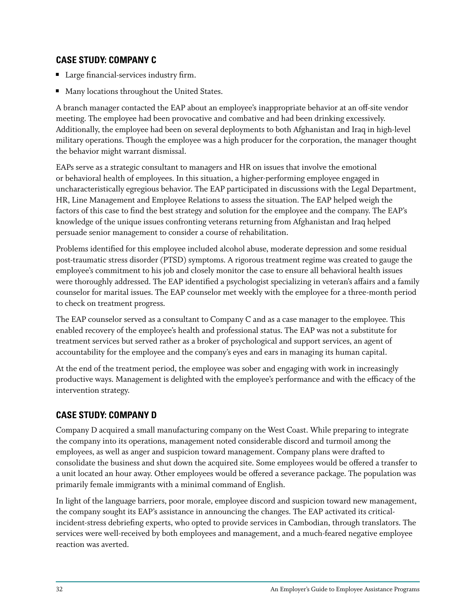### **CASE STUDY: Company C**

- Large financial-services industry firm.
- **Many locations throughout the United States.**

A branch manager contacted the EAP about an employee's inappropriate behavior at an off-site vendor meeting. The employee had been provocative and combative and had been drinking excessively. Additionally, the employee had been on several deployments to both Afghanistan and Iraq in high-level military operations. Though the employee was a high producer for the corporation, the manager thought the behavior might warrant dismissal.

EAPs serve as a strategic consultant to managers and HR on issues that involve the emotional or behavioral health of employees. In this situation, a higher-performing employee engaged in uncharacteristically egregious behavior. The EAP participated in discussions with the Legal Department, HR, Line Management and Employee Relations to assess the situation. The EAP helped weigh the factors of this case to find the best strategy and solution for the employee and the company. The EAP's knowledge of the unique issues confronting veterans returning from Afghanistan and Iraq helped persuade senior management to consider a course of rehabilitation.

Problems identified for this employee included alcohol abuse, moderate depression and some residual post-traumatic stress disorder (PTSD) symptoms. A rigorous treatment regime was created to gauge the employee's commitment to his job and closely monitor the case to ensure all behavioral health issues were thoroughly addressed. The EAP identified a psychologist specializing in veteran's affairs and a family counselor for marital issues. The EAP counselor met weekly with the employee for a three-month period to check on treatment progress.

The EAP counselor served as a consultant to Company C and as a case manager to the employee. This enabled recovery of the employee's health and professional status. The EAP was not a substitute for treatment services but served rather as a broker of psychological and support services, an agent of accountability for the employee and the company's eyes and ears in managing its human capital.

At the end of the treatment period, the employee was sober and engaging with work in increasingly productive ways. Management is delighted with the employee's performance and with the efficacy of the intervention strategy.

# **CASE STUDY: Company D**

Company D acquired a small manufacturing company on the West Coast. While preparing to integrate the company into its operations, management noted considerable discord and turmoil among the employees, as well as anger and suspicion toward management. Company plans were drafted to consolidate the business and shut down the acquired site. Some employees would be offered a transfer to a unit located an hour away. Other employees would be offered a severance package. The population was primarily female immigrants with a minimal command of English.

In light of the language barriers, poor morale, employee discord and suspicion toward new management, the company sought its EAP's assistance in announcing the changes. The EAP activated its criticalincident-stress debriefing experts, who opted to provide services in Cambodian, through translators. The services were well-received by both employees and management, and a much-feared negative employee reaction was averted.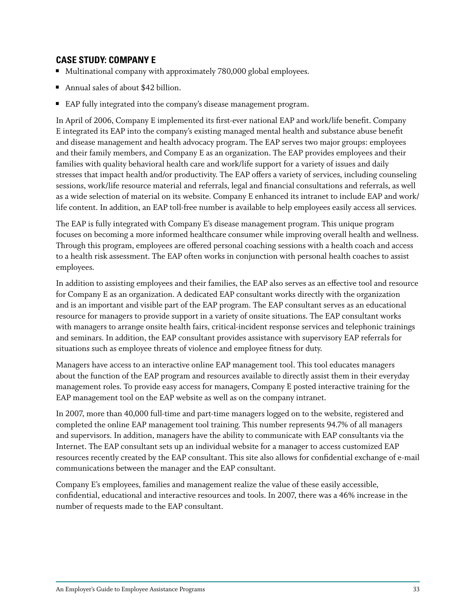### **CASE STUDY: Company E**

- $\blacksquare$  Multinational company with approximately 780,000 global employees.
- Annual sales of about  $$42$  billion.
- EAP fully integrated into the company's disease management program.

In April of 2006, Company E implemented its first-ever national EAP and work/life benefit. Company E integrated its EAP into the company's existing managed mental health and substance abuse benefit and disease management and health advocacy program. The EAP serves two major groups: employees and their family members, and Company E as an organization. The EAP provides employees and their families with quality behavioral health care and work/life support for a variety of issues and daily stresses that impact health and/or productivity. The EAP offers a variety of services, including counseling sessions, work/life resource material and referrals, legal and financial consultations and referrals, as well as a wide selection of material on its website. Company E enhanced its intranet to include EAP and work/ life content. In addition, an EAP toll-free number is available to help employees easily access all services.

The EAP is fully integrated with Company E's disease management program. This unique program focuses on becoming a more informed healthcare consumer while improving overall health and wellness. Through this program, employees are offered personal coaching sessions with a health coach and access to a health risk assessment. The EAP often works in conjunction with personal health coaches to assist employees.

In addition to assisting employees and their families, the EAP also serves as an effective tool and resource for Company E as an organization. A dedicated EAP consultant works directly with the organization and is an important and visible part of the EAP program. The EAP consultant serves as an educational resource for managers to provide support in a variety of onsite situations. The EAP consultant works with managers to arrange onsite health fairs, critical-incident response services and telephonic trainings and seminars. In addition, the EAP consultant provides assistance with supervisory EAP referrals for situations such as employee threats of violence and employee fitness for duty.

Managers have access to an interactive online EAP management tool. This tool educates managers about the function of the EAP program and resources available to directly assist them in their everyday management roles. To provide easy access for managers, Company E posted interactive training for the EAP management tool on the EAP website as well as on the company intranet.

In 2007, more than 40,000 full-time and part-time managers logged on to the website, registered and completed the online EAP management tool training. This number represents 94.7% of all managers and supervisors. In addition, managers have the ability to communicate with EAP consultants via the Internet. The EAP consultant sets up an individual website for a manager to access customized EAP resources recently created by the EAP consultant. This site also allows for confidential exchange of e-mail communications between the manager and the EAP consultant.

Company E's employees, families and management realize the value of these easily accessible, confidential, educational and interactive resources and tools. In 2007, there was a 46% increase in the number of requests made to the EAP consultant.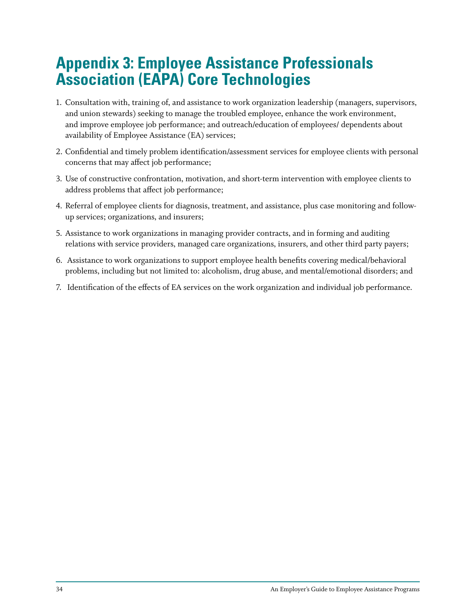# **Appendix 3: Employee Assistance Professionals Association (EAPA) Core Technologies**

- 1. Consultation with, training of, and assistance to work organization leadership (managers, supervisors, and union stewards) seeking to manage the troubled employee, enhance the work environment, and improve employee job performance; and outreach/education of employees/ dependents about availability of Employee Assistance (EA) services;
- 2. Confidential and timely problem identification/assessment services for employee clients with personal concerns that may affect job performance;
- 3. Use of constructive confrontation, motivation, and short-term intervention with employee clients to address problems that affect job performance;
- 4. Referral of employee clients for diagnosis, treatment, and assistance, plus case monitoring and followup services; organizations, and insurers;
- 5. Assistance to work organizations in managing provider contracts, and in forming and auditing relations with service providers, managed care organizations, insurers, and other third party payers;
- 6. Assistance to work organizations to support employee health benefits covering medical/behavioral problems, including but not limited to: alcoholism, drug abuse, and mental/emotional disorders; and
- 7. Identification of the effects of EA services on the work organization and individual job performance.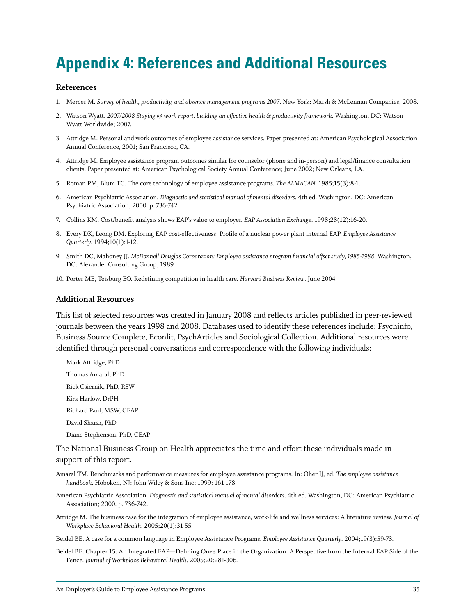# **Appendix 4: References and Additional Resources**

#### **References**

- 1. Mercer M. *Survey of health, productivity, and absence management programs 2007*. New York: Marsh & McLennan Companies; 2008.
- 2. Watson Wyatt. *2007/2008 Staying @ work report, building an effective health & productivity framework*. Washington, DC: Watson Wyatt Worldwide; 2007.
- 3. Attridge M. Personal and work outcomes of employee assistance services. Paper presented at: American Psychological Association Annual Conference, 2001; San Francisco, CA.
- 4. Attridge M. Employee assistance program outcomes similar for counselor (phone and in-person) and legal/finance consultation clients. Paper presented at: American Psychological Society Annual Conference; June 2002; New Orleans, LA.
- 5. Roman PM, Blum TC. The core technology of employee assistance programs. *The ALMACAN*. 1985;15(3):8-1.
- 6. American Psychiatric Association. *Diagnostic and statistical manual of mental disorders*. 4th ed. Washington, DC: American Psychiatric Association; 2000. p. 736-742.
- 7. Collins KM. Cost/benefit analysis shows EAP's value to employer. *EAP Association Exchange*. 1998;28(12):16-20.
- 8. Every DK, Leong DM. Exploring EAP cost-effectiveness: Profile of a nuclear power plant internal EAP. *Employee Assistance Quarterly*. 1994;10(1):1-12.
- 9. Smith DC, Mahoney JJ. *McDonnell Douglas Corporation: Employee assistance program financial offset study, 1985-1988*. Washington, DC: Alexander Consulting Group; 1989.
- 10. Porter ME, Teisburg EO. Redefining competition in health care. *Harvard Business Review*. June 2004.

#### **Additional Resources**

This list of selected resources was created in January 2008 and reflects articles published in peer-reviewed journals between the years 1998 and 2008. Databases used to identify these references include: Psychinfo, Business Source Complete, Econlit, PsychArticles and Sociological Collection. Additional resources were identified through personal conversations and correspondence with the following individuals:

Mark Attridge, PhD Thomas Amaral, PhD Rick Csiernik, PhD, RSW Kirk Harlow, DrPH Richard Paul, MSW, CEAP David Sharar, PhD Diane Stephenson, PhD, CEAP

The National Business Group on Health appreciates the time and effort these individuals made in support of this report.

- Amaral TM. Benchmarks and performance measures for employee assistance programs. In: Oher IJ, ed. *The employee assistance handbook*. Hoboken, NJ: John Wiley & Sons Inc; 1999: 161-178.
- American Psychiatric Association. *Diagnostic and statistical manual of mental disorders*. 4th ed. Washington, DC: American Psychiatric Association; 2000. p. 736-742.
- Attridge M. The business case for the integration of employee assistance, work-life and wellness services: A literature review. *Journal of Workplace Behavioral Health*. 2005;20(1):31-55.

Beidel BE. A case for a common language in Employee Assistance Programs. *Employee Assistance Quarterly*. 2004;19(3):59-73.

Beidel BE. Chapter 15: An Integrated EAP—Defining One's Place in the Organization: A Perspective from the Internal EAP Side of the Fence. *Journal of Workplace Behavioral Health*. 2005;20:281-306.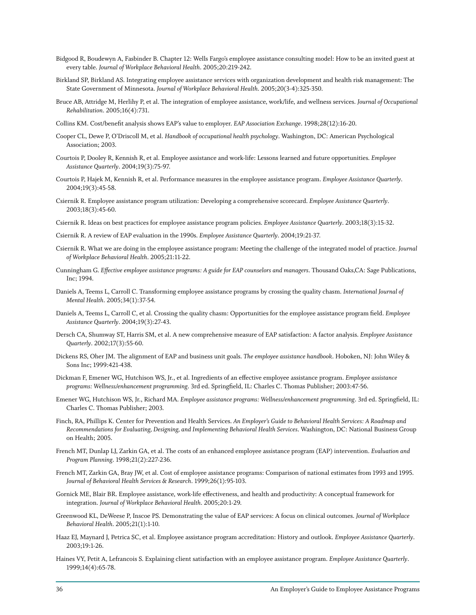- Bidgood R, Boudewyn A, Fasbinder B. Chapter 12: Wells Fargo's employee assistance consulting model: How to be an invited guest at every table. *Journal of Workplace Behavioral Health*. 2005;20:219-242.
- Birkland SP, Birkland AS. Integrating employee assistance services with organization development and health risk management: The State Government of Minnesota. *Journal of Workplace Behavioral Health*. 2005;20(3-4):325-350.
- Bruce AB, Attridge M, Herlihy P, et al. The integration of employee assistance, work/life, and wellness services. *Journal of Occupational Rehabilitation*. 2005;16(4):731.
- Collins KM. Cost/benefit analysis shows EAP's value to employer. *EAP Association Exchange*. 1998;28(12):16-20.
- Cooper CL, Dewe P, O'Driscoll M, et al. *Handbook of occupational health psychology*. Washington, DC: American Psychological Association; 2003.
- Courtois P, Dooley R, Kennish R, et al. Employee assistance and work-life: Lessons learned and future opportunities. *Employee Assistance Quarterly*. 2004;19(3):75-97.
- Courtois P, Hajek M, Kennish R, et al. Performance measures in the employee assistance program. *Employee Assistance Quarterly*. 2004;19(3):45-58.
- Csiernik R. Employee assistance program utilization: Developing a comprehensive scorecard. *Employee Assistance Quarterly*. 2003;18(3):45-60.
- Csiernik R. Ideas on best practices for employee assistance program policies. *Employee Assistance Quarterly*. 2003;18(3):15-32.
- Csiernik R. A review of EAP evaluation in the 1990s. *Employee Assistance Quarterly*. 2004;19:21-37.
- Csiernik R. What we are doing in the employee assistance program: Meeting the challenge of the integrated model of practice. *Journal of Workplace Behavioral Health*. 2005;21:11-22.
- Cunningham G. *Effective employee assistance programs: A guide for EAP counselors and managers*. Thousand Oaks,CA: Sage Publications, Inc; 1994.
- Daniels A, Teems L, Carroll C. Transforming employee assistance programs by crossing the quality chasm. *International Journal of Mental Health*. 2005;34(1):37-54.
- Daniels A, Teems L, Carroll C, et al. Crossing the quality chasm: Opportunities for the employee assistance program field. *Employee Assistance Quarterly*. 2004;19(3):27-43.
- Dersch CA, Shumway ST, Harris SM, et al. A new comprehensive measure of EAP satisfaction: A factor analysis. *Employee Assistance Quarterly*. 2002;17(3):55-60.
- Dickens RS, Oher JM. The alignment of EAP and business unit goals. *The employee assistance handbook*. Hoboken, NJ: John Wiley & Sons Inc; 1999:421-438.
- Dickman F, Emener WG, Hutchison WS, Jr., et al. Ingredients of an effective employee assistance program. *Employee assistance programs: Wellness/enhancement programming*. 3rd ed. Springfield, IL: Charles C. Thomas Publisher; 2003:47-56.
- Emener WG, Hutchison WS, Jr., Richard MA. *Employee assistance programs: Wellness/enhancement programming*. 3rd ed. Springfield, IL: Charles C. Thomas Publisher; 2003.
- Finch, RA, Phillips K. Center for Prevention and Health Services. *An Employer's Guide to Behavioral Health Services: A Roadmap and Recommendations for Evaluating, Designing, and Implementing Behavioral Health Services*. Washington, DC: National Business Group on Health; 2005.
- French MT, Dunlap LJ, Zarkin GA, et al. The costs of an enhanced employee assistance program (EAP) intervention. *Evaluation and Program Planning*. 1998;21(2):227-236.
- French MT, Zarkin GA, Bray JW, et al. Cost of employee assistance programs: Comparison of national estimates from 1993 and 1995. *Journal of Behavioral Health Services & Research*. 1999;26(1):95-103.
- Gornick ME, Blair BR. Employee assistance, work-life effectiveness, and health and productivity: A conceptual framework for integration. *Journal of Workplace Behavioral Health*. 2005;20:1-29.
- Greenwood KL, DeWeese P, Inscoe PS. Demonstrating the value of EAP services: A focus on clinical outcomes. *Journal of Workplace Behavioral Health*. 2005;21(1):1-10.
- Haaz EJ, Maynard J, Petrica SC, et al. Employee assistance program accreditation: History and outlook. *Employee Assistance Quarterly*. 2003;19:1-26.
- Haines VY, Petit A, Lefrancois S. Explaining client satisfaction with an employee assistance program. *Employee Assistance Quarterly*. 1999;14(4):65-78.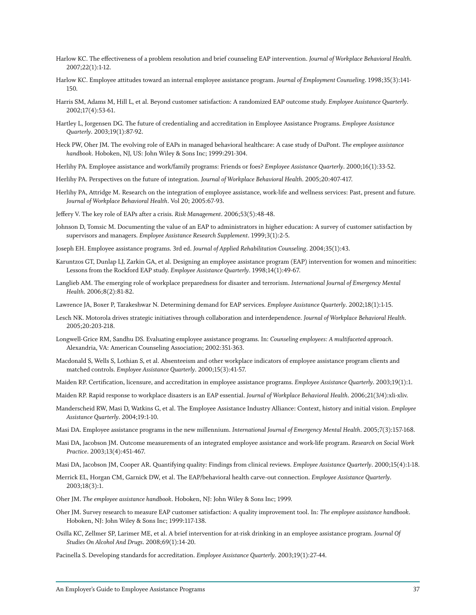- Harlow KC. The effectiveness of a problem resolution and brief counseling EAP intervention. *Journal of Workplace Behavioral Health*. 2007;22(1):1-12.
- Harlow KC. Employee attitudes toward an internal employee assistance program. *Journal of Employment Counseling*. 1998;35(3):141- 150.
- Harris SM, Adams M, Hill L, et al. Beyond customer satisfaction: A randomized EAP outcome study. *Employee Assistance Quarterly*. 2002;17(4):53-61.
- Hartley L, Jorgensen DG. The future of credentialing and accreditation in Employee Assistance Programs. *Employee Assistance Quarterly*. 2003;19(1):87-92.
- Heck PW, Oher JM. The evolving role of EAPs in managed behavioral healthcare: A case study of DuPont. *The employee assistance handbook*. Hoboken, NJ, US: John Wiley & Sons Inc; 1999:291-304.
- Herlihy PA. Employee assistance and work/family programs: Friends or foes? *Employee Assistance Quarterly*. 2000;16(1):33-52.
- Herlihy PA. Perspectives on the future of integration. *Journal of Workplace Behavioral Health*. 2005;20:407-417.
- Herlihy PA, Attridge M. Research on the integration of employee assistance, work-life and wellness services: Past, present and future. *Journal of Workplace Behavioral Health*. Vol 20; 2005:67-93.
- Jeffery V. The key role of EAPs after a crisis. *Risk Management*. 2006;53(5):48-48.
- Johnson D, Tomsic M. Documenting the value of an EAP to administrators in higher education: A survey of customer satisfaction by supervisors and managers. *Employee Assistance Research Supplement*. 1999;3(1):2-5.
- Joseph EH. Employee assistance programs. 3rd ed. *Journal of Applied Rehabilitation Counseling*. 2004;35(1):43.
- Karuntzos GT, Dunlap LJ, Zarkin GA, et al. Designing an employee assistance program (EAP) intervention for women and minorities: Lessons from the Rockford EAP study. *Employee Assistance Quarterly*. 1998;14(1):49-67.
- Langlieb AM. The emerging role of workplace preparedness for disaster and terrorism. *International Journal of Emergency Mental Health*. 2006;8(2):81-82.
- Lawrence JA, Boxer P, Tarakeshwar N. Determining demand for EAP services. *Employee Assistance Quarterly*. 2002;18(1):1-15.
- Lesch NK. Motorola drives strategic initiatives through collaboration and interdependence. *Journal of Workplace Behavioral Health*. 2005;20:203-218.
- Longwell-Grice RM, Sandhu DS. Evaluating employee assistance programs. In: *Counseling employees: A multifaceted approach*. Alexandria, VA: American Counseling Association; 2002:351-363.
- Macdonald S, Wells S, Lothian S, et al. Absenteeism and other workplace indicators of employee assistance program clients and matched controls. *Employee Assistance Quarterly*. 2000;15(3):41-57.
- Maiden RP. Certification, licensure, and accreditation in employee assistance programs. *Employee Assistance Quarterly*. 2003;19(1):1.
- Maiden RP. Rapid response to workplace disasters is an EAP essential. *Journal of Workplace Behavioral Health*. 2006;21(3/4):xli-xliv.
- Manderscheid RW, Masi D, Watkins G, et al. The Employee Assistance Industry Alliance: Context, history and initial vision. *Employee Assistance Quarterly*. 2004;19:1-10.
- Masi DA. Employee assistance programs in the new millennium. *International Journal of Emergency Mental Health*. 2005;7(3):157-168.
- Masi DA, Jacobson JM. Outcome measurements of an integrated employee assistance and work-life program. *Research on Social Work Practice*. 2003;13(4):451-467.
- Masi DA, Jacobson JM, Cooper AR. Quantifying quality: Findings from clinical reviews. *Employee Assistance Quarterly*. 2000;15(4):1-18.
- Merrick EL, Horgan CM, Garnick DW, et al. The EAP/behavioral health carve-out connection. *Employee Assistance Quarterly*. 2003;18(3):1.
- Oher JM. *The employee assistance handbook*. Hoboken, NJ: John Wiley & Sons Inc; 1999.
- Oher JM. Survey research to measure EAP customer satisfaction: A quality improvement tool. In: *The employee assistance handbook*. Hoboken, NJ: John Wiley & Sons Inc; 1999:117-138.
- Osilla KC, Zellmer SP, Larimer ME, et al. A brief intervention for at-risk drinking in an employee assistance program. *Journal Of Studies On Alcohol And Drugs*. 2008;69(1):14-20.
- Pacinella S. Developing standards for accreditation. *Employee Assistance Quarterly*. 2003;19(1):27-44.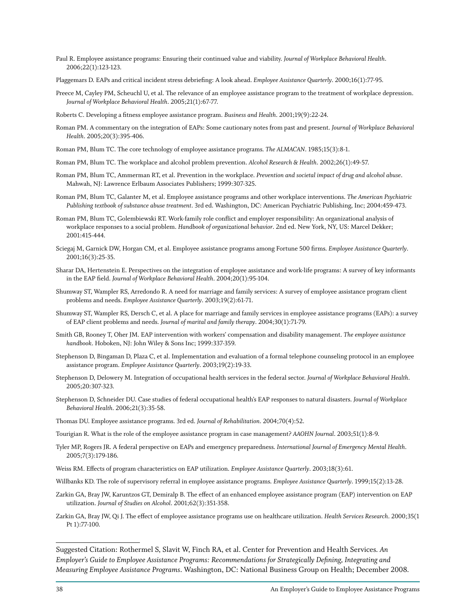- Paul R. Employee assistance programs: Ensuring their continued value and viability. *Journal of Workplace Behavioral Health*. 2006;22(1):123-123.
- Plaggemars D. EAPs and critical incident stress debriefing: A look ahead. *Employee Assistance Quarterly*. 2000;16(1):77-95.
- Preece M, Cayley PM, Scheuchl U, et al. The relevance of an employee assistance program to the treatment of workplace depression. *Journal of Workplace Behavioral Health*. 2005;21(1):67-77.
- Roberts C. Developing a fitness employee assistance program. *Business and Health*. 2001;19(9):22-24.
- Roman PM. A commentary on the integration of EAPs: Some cautionary notes from past and present. *Journal of Workplace Behavioral Health*. 2005;20(3):395-406.
- Roman PM, Blum TC. The core technology of employee assistance programs. *The ALMACAN*. 1985;15(3):8-1.
- Roman PM, Blum TC. The workplace and alcohol problem prevention. *Alcohol Research & Health*. 2002;26(1):49-57.
- Roman PM, Blum TC, Ammerman RT, et al. Prevention in the workplace. *Prevention and societal impact of drug and alcohol abuse*. Mahwah, NJ: Lawrence Erlbaum Associates Publishers; 1999:307-325.
- Roman PM, Blum TC, Galanter M, et al. Employee assistance programs and other workplace interventions. *The American Psychiatric Publishing textbook of substance abuse treatment*. 3rd ed. Washington, DC: American Psychiatric Publishing, Inc; 2004:459-473.
- Roman PM, Blum TC, Golembiewski RT. Work-family role conflict and employer responsibility: An organizational analysis of workplace responses to a social problem. *Handbook of organizational behavior*. 2nd ed. New York, NY, US: Marcel Dekker; 2001:415-444.
- Sciegaj M, Garnick DW, Horgan CM, et al. Employee assistance programs among Fortune 500 firms. *Employee Assistance Quarterly*. 2001;16(3):25-35.
- Sharar DA, Hertenstein E. Perspectives on the integration of employee assistance and work-life programs: A survey of key informants in the EAP field. *Journal of Workplace Behavioral Health*. 2004;20(1):95-104.
- Shumway ST, Wampler RS, Arredondo R. A need for marriage and family services: A survey of employee assistance program client problems and needs. *Employee Assistance Quarterly*. 2003;19(2):61-71.
- Shumway ST, Wampler RS, Dersch C, et al. A place for marriage and family services in employee assistance programs (EAPs): a survey of EAP client problems and needs. *Journal of marital and family therapy*. 2004;30(1):71-79.
- Smith GB, Rooney T, Oher JM. EAP intervention with workers' compensation and disability management. *The employee assistance handbook*. Hoboken, NJ: John Wiley & Sons Inc; 1999:337-359.
- Stephenson D, Bingaman D, Plaza C, et al. Implementation and evaluation of a formal telephone counseling protocol in an employee assistance program. *Employee Assistance Quarterly*. 2003;19(2):19-33.
- Stephenson D, Delowery M. Integration of occupational health services in the federal sector. *Journal of Workplace Behavioral Health*. 2005;20:307-323.
- Stephenson D, Schneider DU. Case studies of federal occupational health's EAP responses to natural disasters. *Journal of Workplace Behavioral Health*. 2006;21(3):35-58.
- Thomas DU. Employee assistance programs. 3rd ed. *Journal of Rehabilitation*. 2004;70(4):52.
- Tourigian R. What is the role of the employee assistance program in case management? *AAOHN Journal*. 2003;51(1):8-9.
- Tyler MP, Rogers JR. A federal perspective on EAPs and emergency preparedness. *International Journal of Emergency Mental Health*. 2005;7(3):179-186.
- Weiss RM. Effects of program characteristics on EAP utilization. *Employee Assistance Quarterly*. 2003;18(3):61.
- Willbanks KD. The role of supervisory referral in employee assistance programs. *Employee Assistance Quarterly*. 1999;15(2):13-28.
- Zarkin GA, Bray JW, Karuntzos GT, Demiralp B. The effect of an enhanced employee assistance program (EAP) intervention on EAP utilization. *Journal of Studies on Alcohol*. 2001;62(3):351-358.
- Zarkin GA, Bray JW, Qi J. The effect of employee assistance programs use on healthcare utilization. *Health Services Research*. 2000;35(1 Pt 1):77-100.

Suggested Citation: Rothermel S, Slavit W, Finch RA, et al. Center for Prevention and Health Services. *An Employer's Guide to Employee Assistance Programs: Recommendations for Strategically Defining, Integrating and Measuring Employee Assistance Programs*. Washington, DC: National Business Group on Health; December 2008.